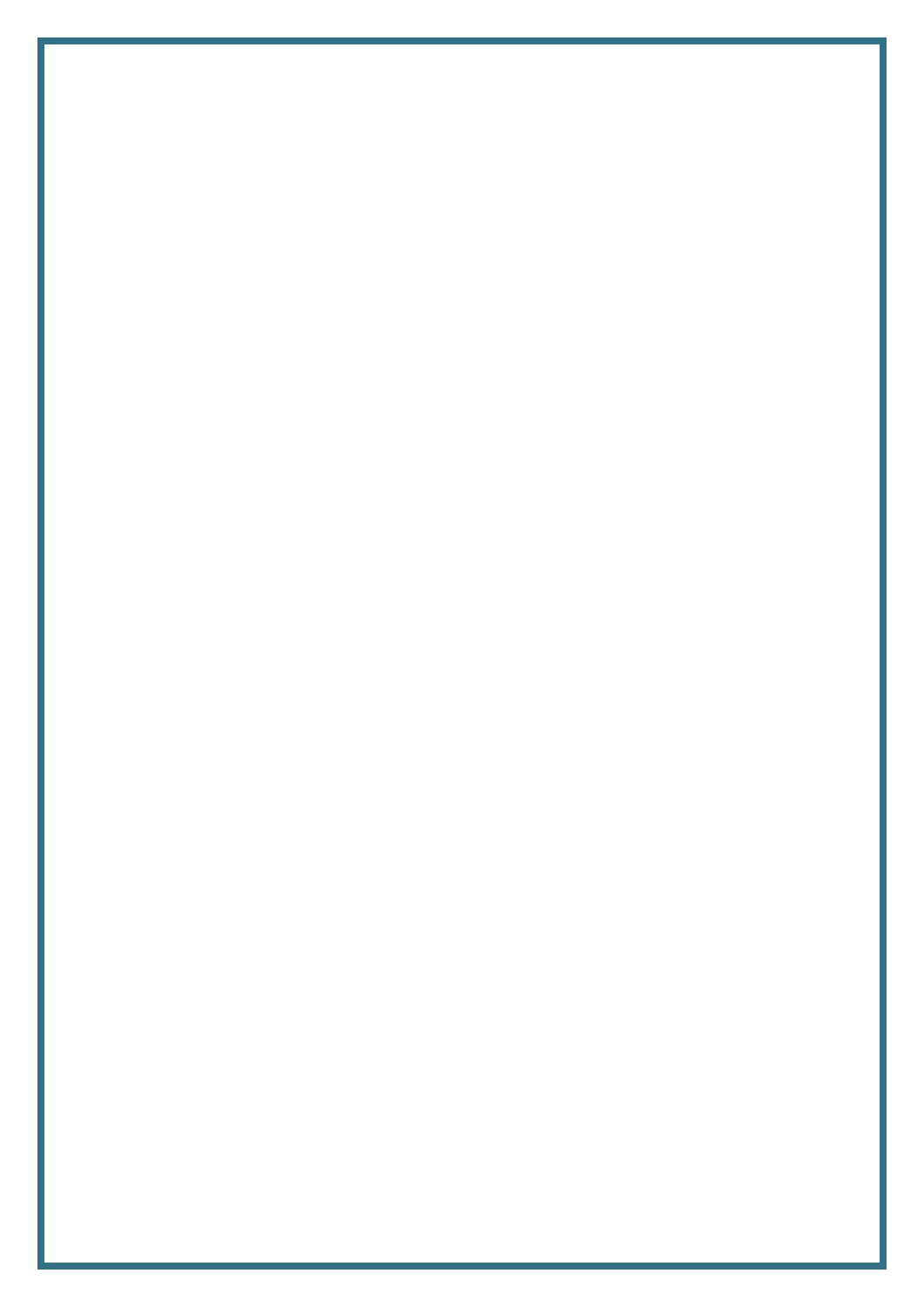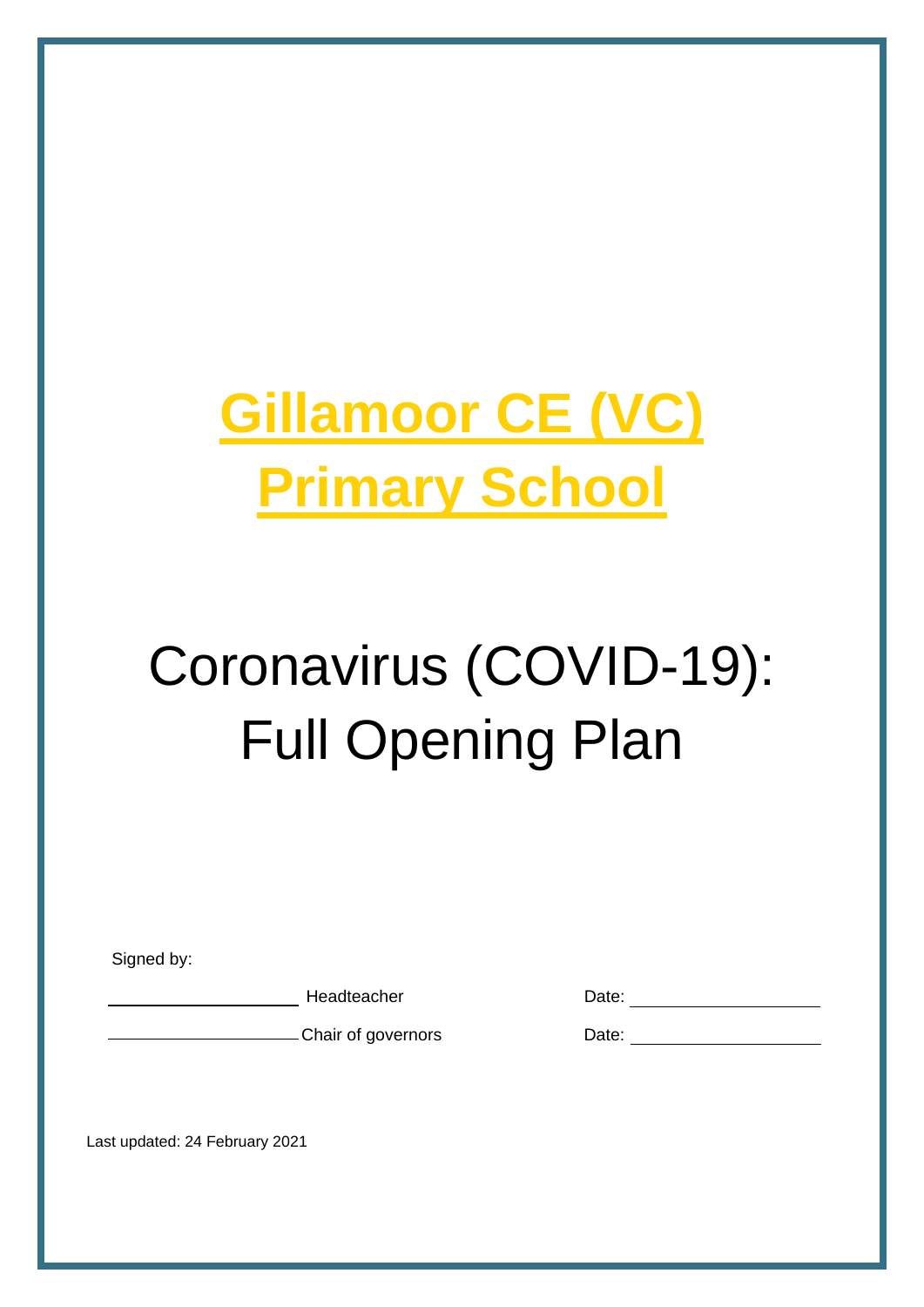# **Gillamoor CE (VC) Primary School**

# Coronavirus (COVID-19): Full Opening Plan

Signed by:

Latter Chair of governors and Date: Latter Date:

entity and the deterministic part of the contract of the Date:

Last updated: 24 February 2021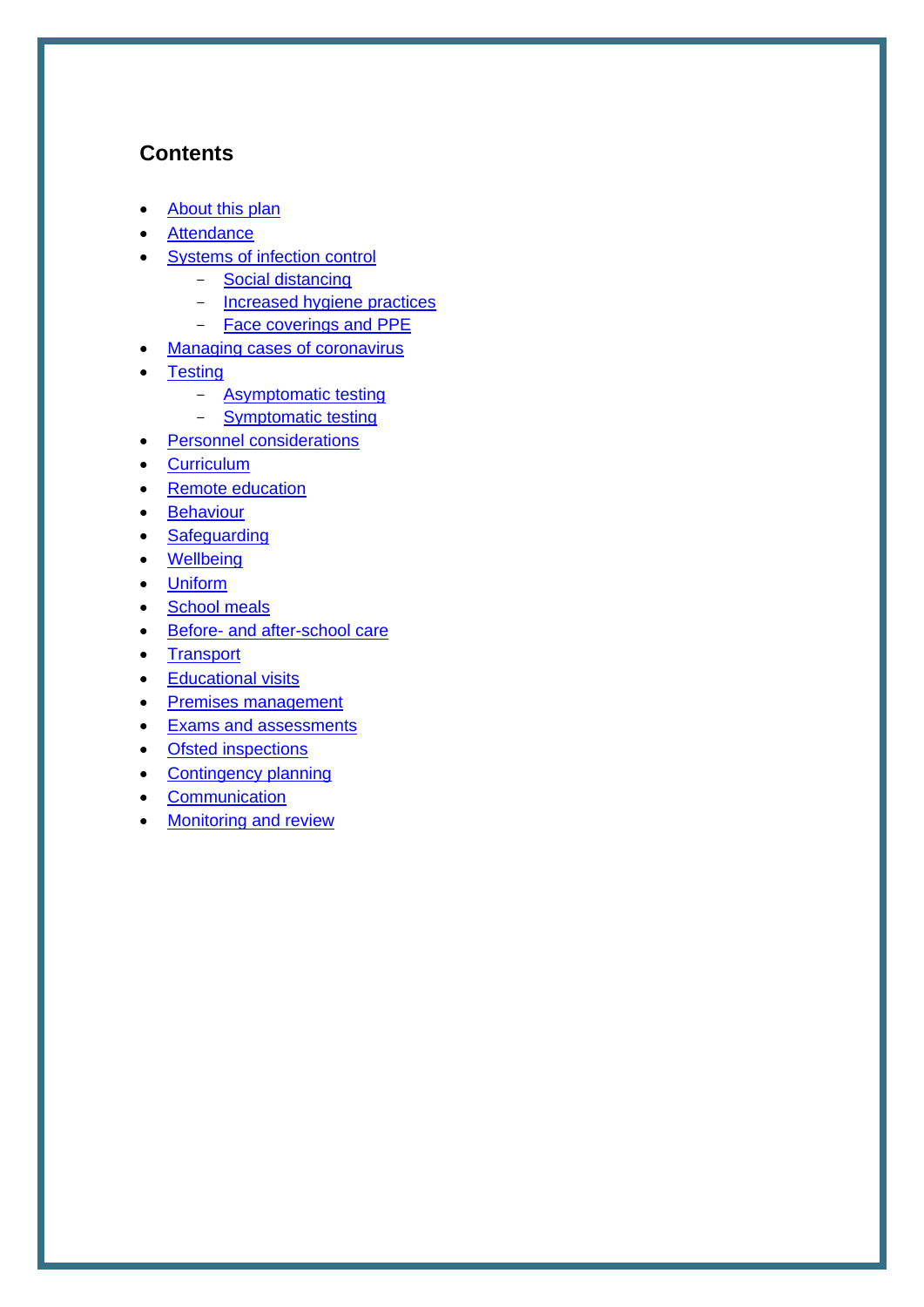## **Contents**

- [About this plan](#page-3-0)
- [Attendance](#page-4-0)
- Systems [of infection control](#page-5-0)
	- [Social distancing](#page-5-1)
	- **[Increased hygiene practices](#page-6-0)**
	- [Face coverings and PPE](#page-8-0)
- [Managing cases of coronavirus](#page-9-0)
- [Testing](#page-11-0)
	- **[Asymptomatic testing](#page-11-1)**
	- [Symptomatic testing](#page-11-2)
- [Personnel considerations](#page-12-0)
- [Curriculum](#page-13-0)
- [Remote education](#page-15-0)
- [Behaviour](#page-15-1)
- [Safeguarding](#page-16-0)
- [Wellbeing](#page-17-0)
- [Uniform](#page-19-0)
- [School meals](#page-20-0)
- Before- [and after-school care](#page-20-1)
- [Transport](#page-20-2)
- [Educational visits](#page-20-3)
- [Premises management](#page-21-0)
- [Exams and assessments](#page-21-1)
- Ofsted [inspections](#page-21-2)
- [Contingency planning](#page-21-3)
- [Communication](#page-21-4)
- [Monitoring and review](#page-22-0)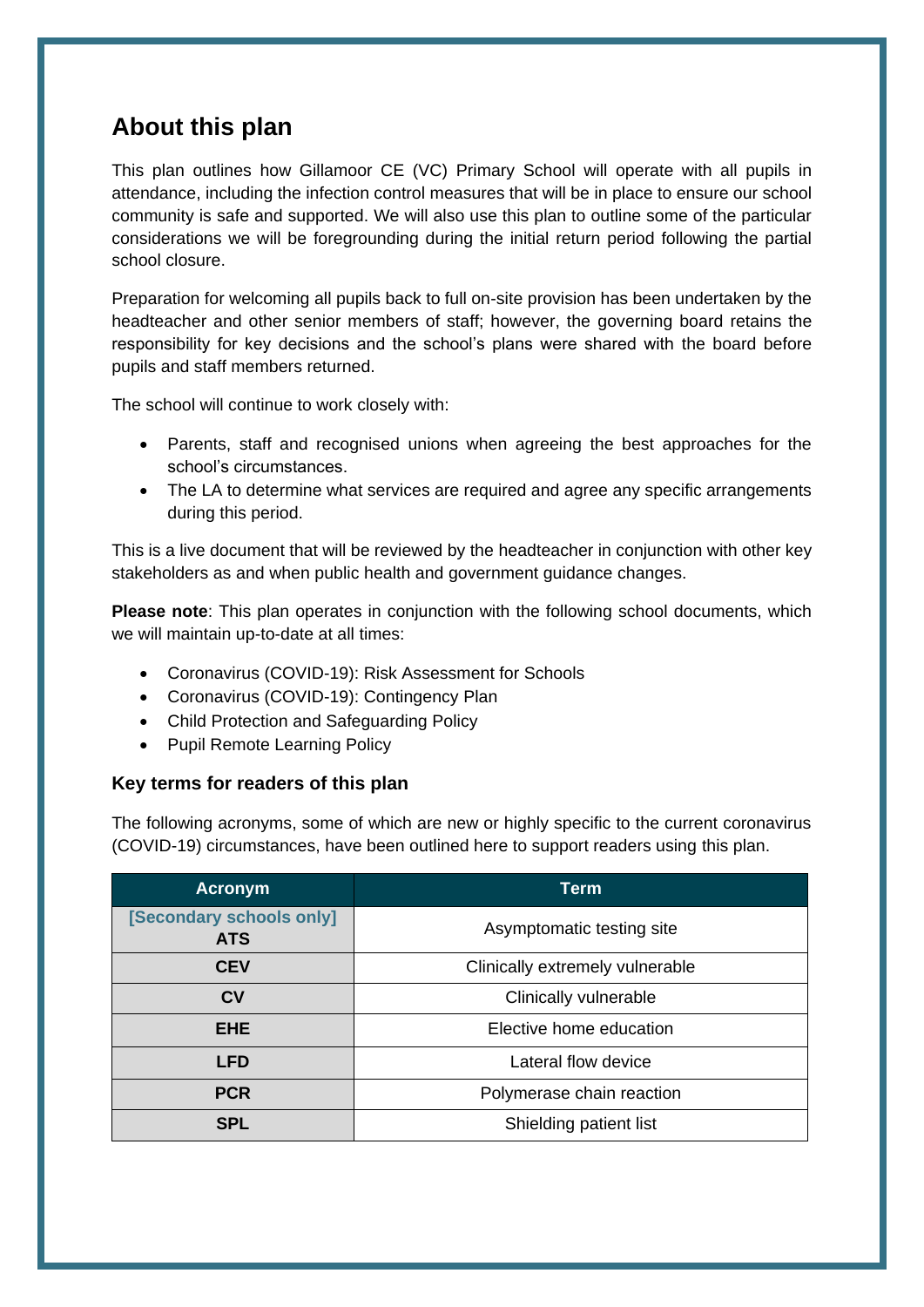# <span id="page-3-0"></span>**About this plan**

This plan outlines how Gillamoor CE (VC) Primary School will operate with all pupils in attendance, including the infection control measures that will be in place to ensure our school community is safe and supported. We will also use this plan to outline some of the particular considerations we will be foregrounding during the initial return period following the partial school closure.

Preparation for welcoming all pupils back to full on-site provision has been undertaken by the headteacher and other senior members of staff; however, the governing board retains the responsibility for key decisions and the school's plans were shared with the board before pupils and staff members returned.

The school will continue to work closely with:

- Parents, staff and recognised unions when agreeing the best approaches for the school's circumstances.
- The LA to determine what services are required and agree any specific arrangements during this period.

This is a live document that will be reviewed by the headteacher in conjunction with other key stakeholders as and when public health and government guidance changes.

**Please note**: This plan operates in conjunction with the following school documents, which we will maintain up-to-date at all times:

- Coronavirus (COVID-19): Risk Assessment for Schools
- Coronavirus (COVID-19): Contingency Plan
- Child Protection and Safeguarding Policy
- Pupil Remote Learning Policy

#### **Key terms for readers of this plan**

The following acronyms, some of which are new or highly specific to the current coronavirus (COVID-19) circumstances, have been outlined here to support readers using this plan.

| <b>Acronym</b>                         | <b>Term</b>                     |
|----------------------------------------|---------------------------------|
| [Secondary schools only]<br><b>ATS</b> | Asymptomatic testing site       |
| <b>CEV</b>                             | Clinically extremely vulnerable |
| <b>CV</b>                              | Clinically vulnerable           |
| <b>EHE</b>                             | Elective home education         |
| <b>LFD</b>                             | Lateral flow device             |
| <b>PCR</b>                             | Polymerase chain reaction       |
| <b>SPL</b>                             | Shielding patient list          |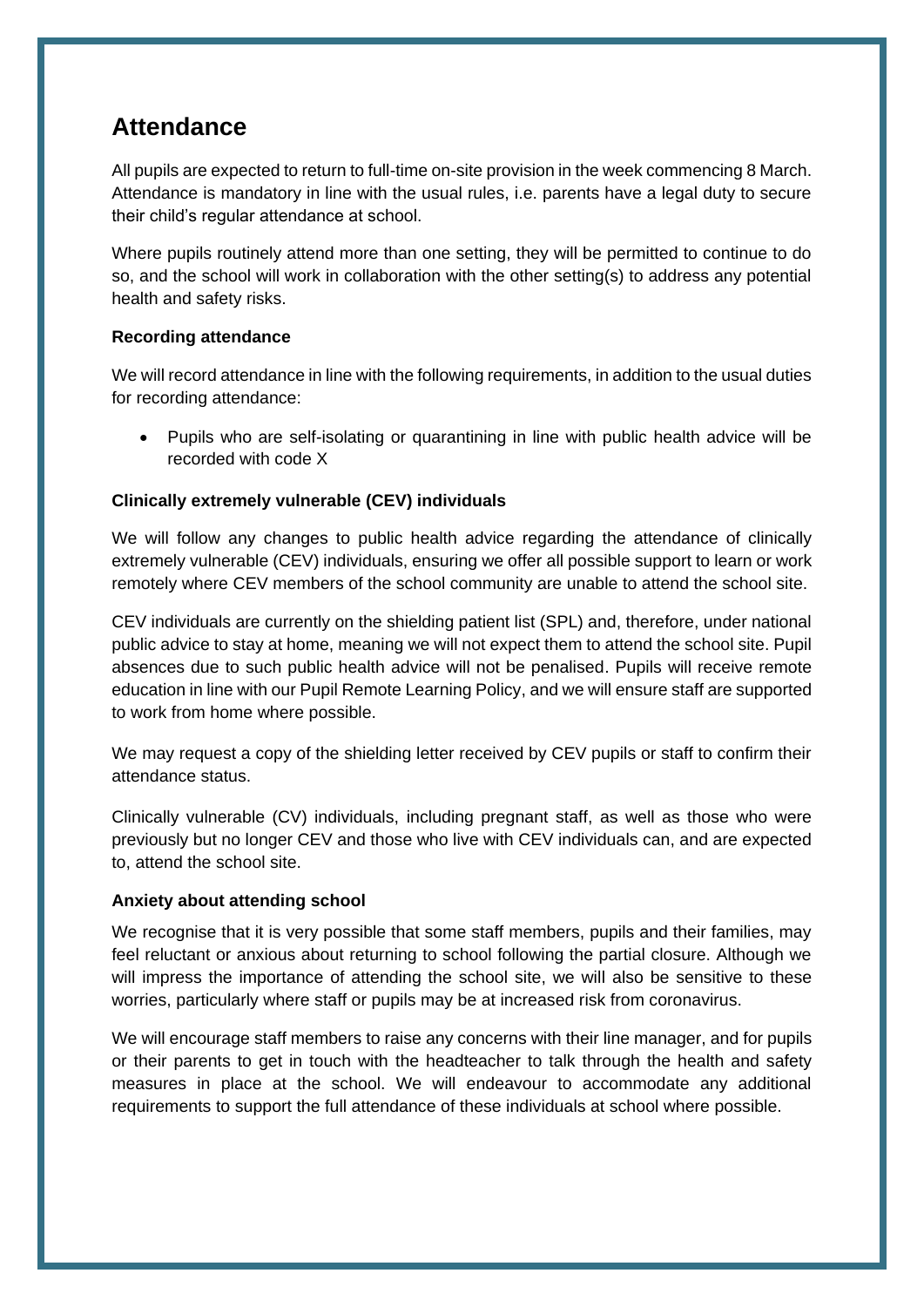## <span id="page-4-0"></span>**Attendance**

All pupils are expected to return to full-time on-site provision in the week commencing 8 March. Attendance is mandatory in line with the usual rules, i.e. parents have a legal duty to secure their child's regular attendance at school.

Where pupils routinely attend more than one setting, they will be permitted to continue to do so, and the school will work in collaboration with the other setting(s) to address any potential health and safety risks.

#### **Recording attendance**

We will record attendance in line with the following requirements, in addition to the usual duties for recording attendance:

• Pupils who are self-isolating or quarantining in line with public health advice will be recorded with code X

#### **Clinically extremely vulnerable (CEV) individuals**

We will follow any changes to public health advice regarding the attendance of clinically extremely vulnerable (CEV) individuals, ensuring we offer all possible support to learn or work remotely where CEV members of the school community are unable to attend the school site.

CEV individuals are currently on the shielding patient list (SPL) and, therefore, under national public advice to stay at home, meaning we will not expect them to attend the school site. Pupil absences due to such public health advice will not be penalised. Pupils will receive remote education in line with our Pupil Remote Learning Policy, and we will ensure staff are supported to work from home where possible.

We may request a copy of the shielding letter received by CEV pupils or staff to confirm their attendance status.

Clinically vulnerable (CV) individuals, including pregnant staff, as well as those who were previously but no longer CEV and those who live with CEV individuals can, and are expected to, attend the school site.

#### **Anxiety about attending school**

We recognise that it is very possible that some staff members, pupils and their families, may feel reluctant or anxious about returning to school following the partial closure. Although we will impress the importance of attending the school site, we will also be sensitive to these worries, particularly where staff or pupils may be at increased risk from coronavirus.

We will encourage staff members to raise any concerns with their line manager, and for pupils or their parents to get in touch with the headteacher to talk through the health and safety measures in place at the school. We will endeavour to accommodate any additional requirements to support the full attendance of these individuals at school where possible.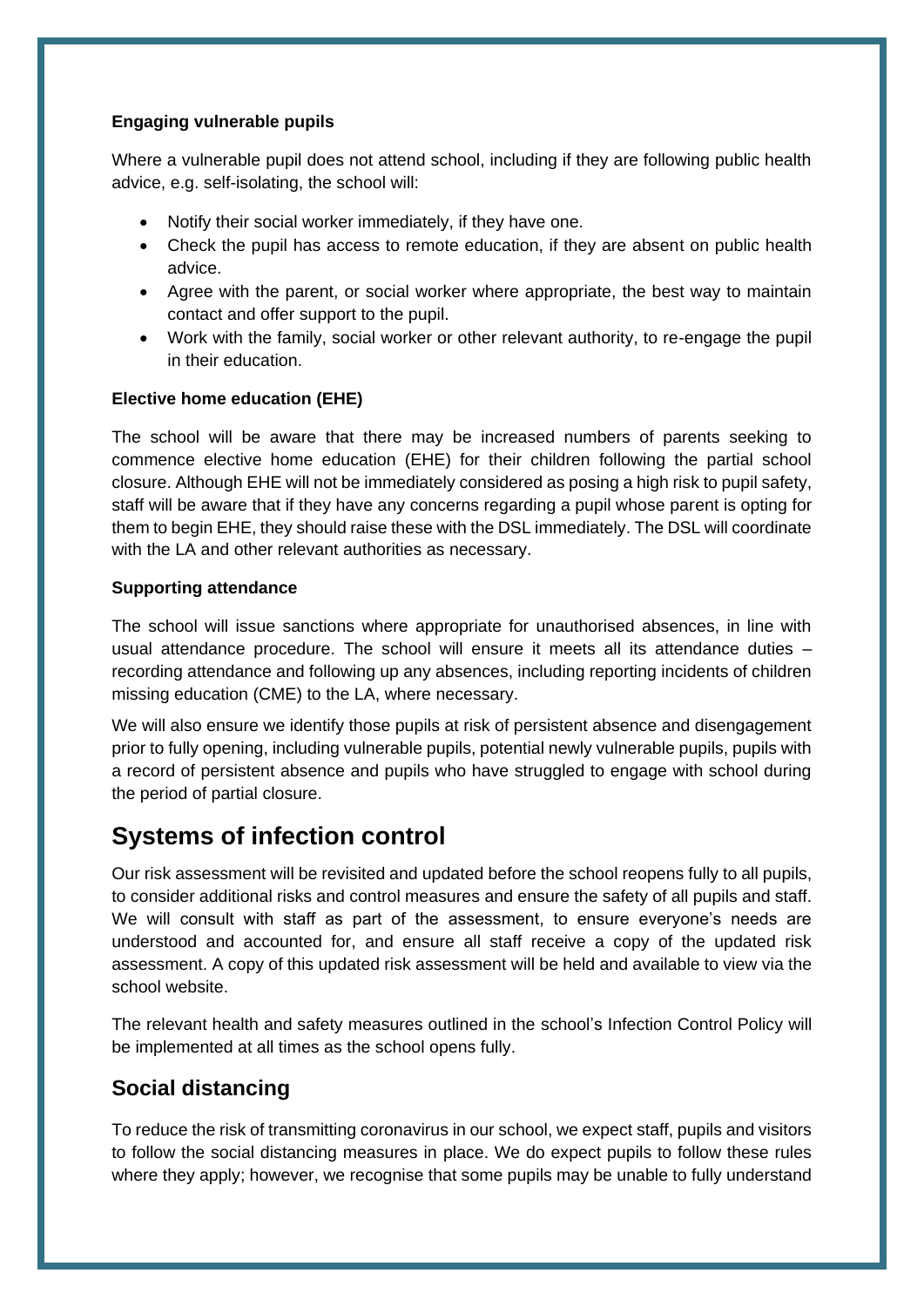#### **Engaging vulnerable pupils**

Where a vulnerable pupil does not attend school, including if they are following public health advice, e.g. self-isolating, the school will:

- Notify their social worker immediately, if they have one.
- Check the pupil has access to remote education, if they are absent on public health advice.
- Agree with the parent, or social worker where appropriate, the best way to maintain contact and offer support to the pupil.
- Work with the family, social worker or other relevant authority, to re-engage the pupil in their education.

#### **Elective home education (EHE)**

The school will be aware that there may be increased numbers of parents seeking to commence elective home education (EHE) for their children following the partial school closure. Although EHE will not be immediately considered as posing a high risk to pupil safety, staff will be aware that if they have any concerns regarding a pupil whose parent is opting for them to begin EHE, they should raise these with the DSL immediately. The DSL will coordinate with the LA and other relevant authorities as necessary.

#### **Supporting attendance**

The school will issue sanctions where appropriate for unauthorised absences, in line with usual attendance procedure. The school will ensure it meets all its attendance duties – recording attendance and following up any absences, including reporting incidents of children missing education (CME) to the LA, where necessary.

We will also ensure we identify those pupils at risk of persistent absence and disengagement prior to fully opening, including vulnerable pupils, potential newly vulnerable pupils, pupils with a record of persistent absence and pupils who have struggled to engage with school during the period of partial closure.

## <span id="page-5-0"></span>**Systems of infection control**

Our risk assessment will be revisited and updated before the school reopens fully to all pupils, to consider additional risks and control measures and ensure the safety of all pupils and staff. We will consult with staff as part of the assessment, to ensure everyone's needs are understood and accounted for, and ensure all staff receive a copy of the updated risk assessment. A copy of this updated risk assessment will be held and available to view via the school website.

The relevant health and safety measures outlined in the school's Infection Control Policy will be implemented at all times as the school opens fully.

## <span id="page-5-1"></span>**Social distancing**

To reduce the risk of transmitting coronavirus in our school, we expect staff, pupils and visitors to follow the social distancing measures in place. We do expect pupils to follow these rules where they apply; however, we recognise that some pupils may be unable to fully understand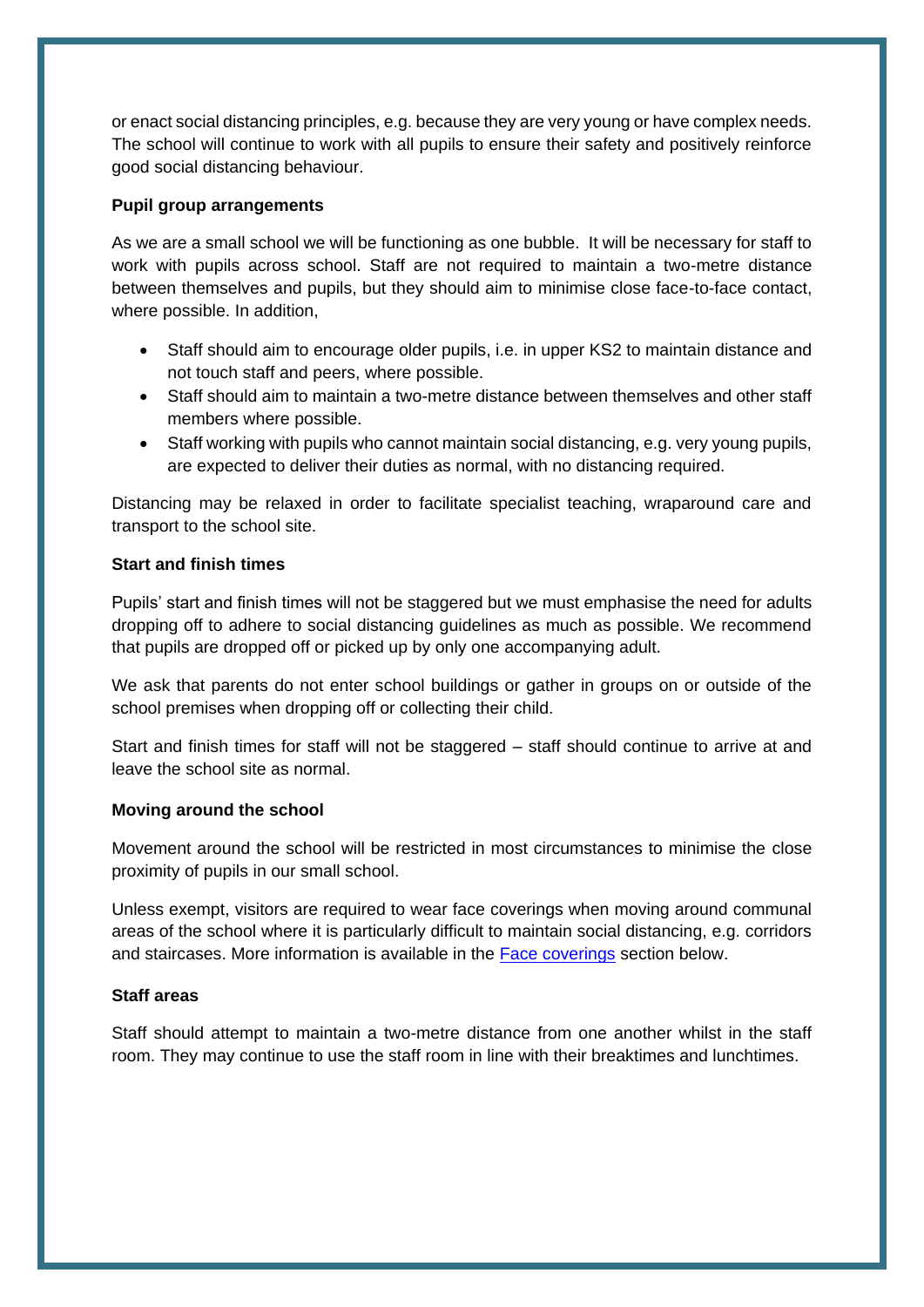or enact social distancing principles, e.g. because they are very young or have complex needs. The school will continue to work with all pupils to ensure their safety and positively reinforce good social distancing behaviour.

#### **Pupil group arrangements**

As we are a small school we will be functioning as one bubble. It will be necessary for staff to work with pupils across school. Staff are not required to maintain a two-metre distance between themselves and pupils, but they should aim to minimise close face-to-face contact, where possible. In addition,

- Staff should aim to encourage older pupils, i.e. in upper KS2 to maintain distance and not touch staff and peers, where possible.
- Staff should aim to maintain a two-metre distance between themselves and other staff members where possible.
- Staff working with pupils who cannot maintain social distancing, e.g. very young pupils, are expected to deliver their duties as normal, with no distancing required.

Distancing may be relaxed in order to facilitate specialist teaching, wraparound care and transport to the school site.

#### **Start and finish times**

Pupils' start and finish times will not be staggered but we must emphasise the need for adults dropping off to adhere to social distancing guidelines as much as possible. We recommend that pupils are dropped off or picked up by only one accompanying adult.

We ask that parents do not enter school buildings or gather in groups on or outside of the school premises when dropping off or collecting their child.

Start and finish times for staff will not be staggered – staff should continue to arrive at and leave the school site as normal.

#### **Moving around the school**

Movement around the school will be restricted in most circumstances to minimise the close proximity of pupils in our small school.

Unless exempt, visitors are required to wear face coverings when moving around communal areas of the school where it is particularly difficult to maintain social distancing, e.g. corridors and staircases. More information is available in the [Face coverings](#page-8-0) section below.

#### **Staff areas**

<span id="page-6-0"></span>Staff should attempt to maintain a two-metre distance from one another whilst in the staff room. They may continue to use the staff room in line with their breaktimes and lunchtimes.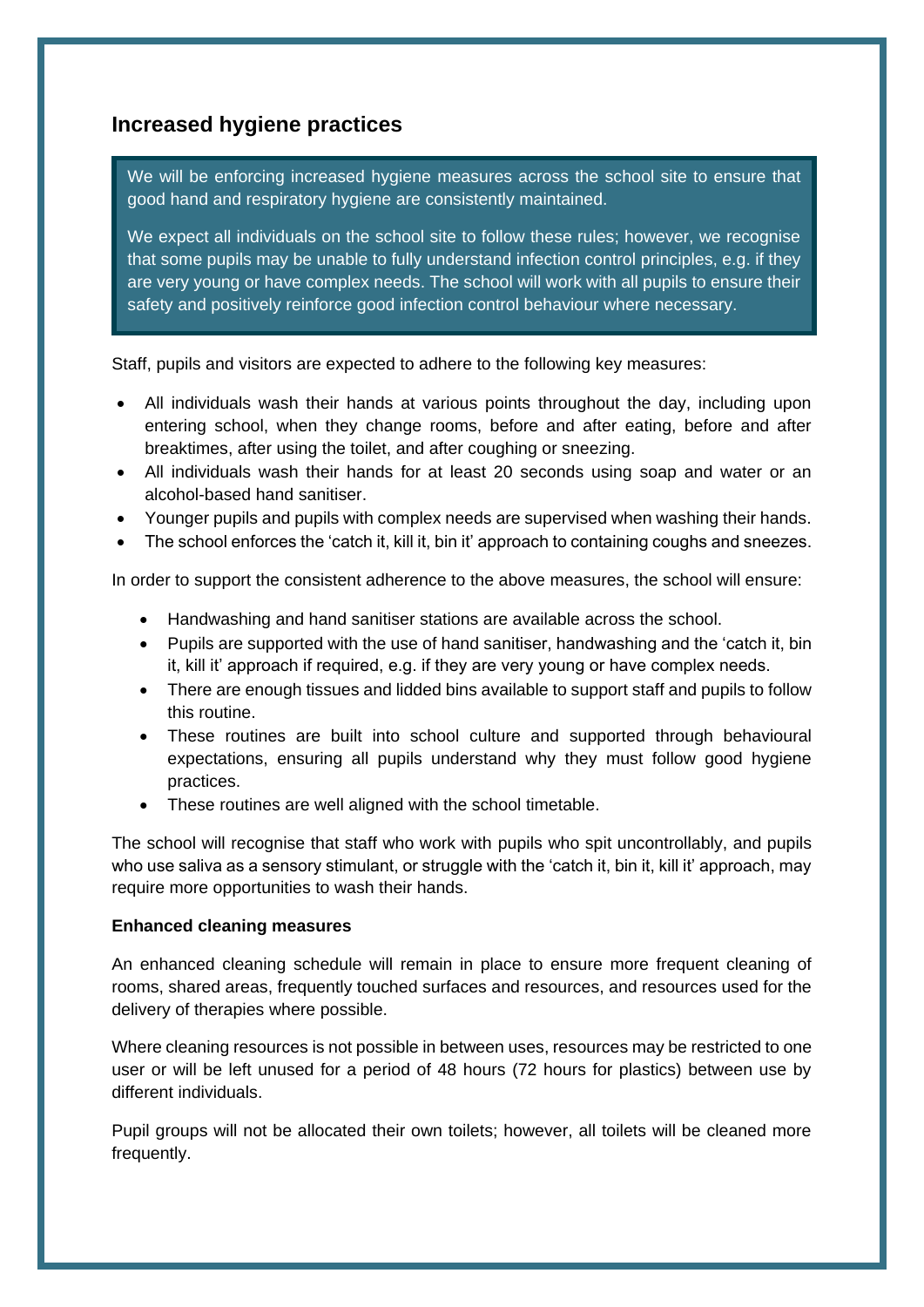## **Increased hygiene practices**

We will be enforcing increased hygiene measures across the school site to ensure that good hand and respiratory hygiene are consistently maintained.

We expect all individuals on the school site to follow these rules; however, we recognise that some pupils may be unable to fully understand infection control principles, e.g. if they are very young or have complex needs. The school will work with all pupils to ensure their safety and positively reinforce good infection control behaviour where necessary.

Staff, pupils and visitors are expected to adhere to the following key measures:

- All individuals wash their hands at various points throughout the day, including upon entering school, when they change rooms, before and after eating, before and after breaktimes, after using the toilet, and after coughing or sneezing.
- All individuals wash their hands for at least 20 seconds using soap and water or an alcohol-based hand sanitiser.
- Younger pupils and pupils with complex needs are supervised when washing their hands.
- The school enforces the 'catch it, kill it, bin it' approach to containing coughs and sneezes.

In order to support the consistent adherence to the above measures, the school will ensure:

- Handwashing and hand sanitiser stations are available across the school.
- Pupils are supported with the use of hand sanitiser, handwashing and the 'catch it, bin it, kill it' approach if required, e.g. if they are very young or have complex needs.
- There are enough tissues and lidded bins available to support staff and pupils to follow this routine.
- These routines are built into school culture and supported through behavioural expectations, ensuring all pupils understand why they must follow good hygiene practices.
- These routines are well aligned with the school timetable.

The school will recognise that staff who work with pupils who spit uncontrollably, and pupils who use saliva as a sensory stimulant, or struggle with the 'catch it, bin it, kill it' approach, may require more opportunities to wash their hands.

#### **Enhanced cleaning measures**

An enhanced cleaning schedule will remain in place to ensure more frequent cleaning of rooms, shared areas, frequently touched surfaces and resources, and resources used for the delivery of therapies where possible.

Where cleaning resources is not possible in between uses, resources may be restricted to one user or will be left unused for a period of 48 hours (72 hours for plastics) between use by different individuals.

Pupil groups will not be allocated their own toilets; however, all toilets will be cleaned more frequently.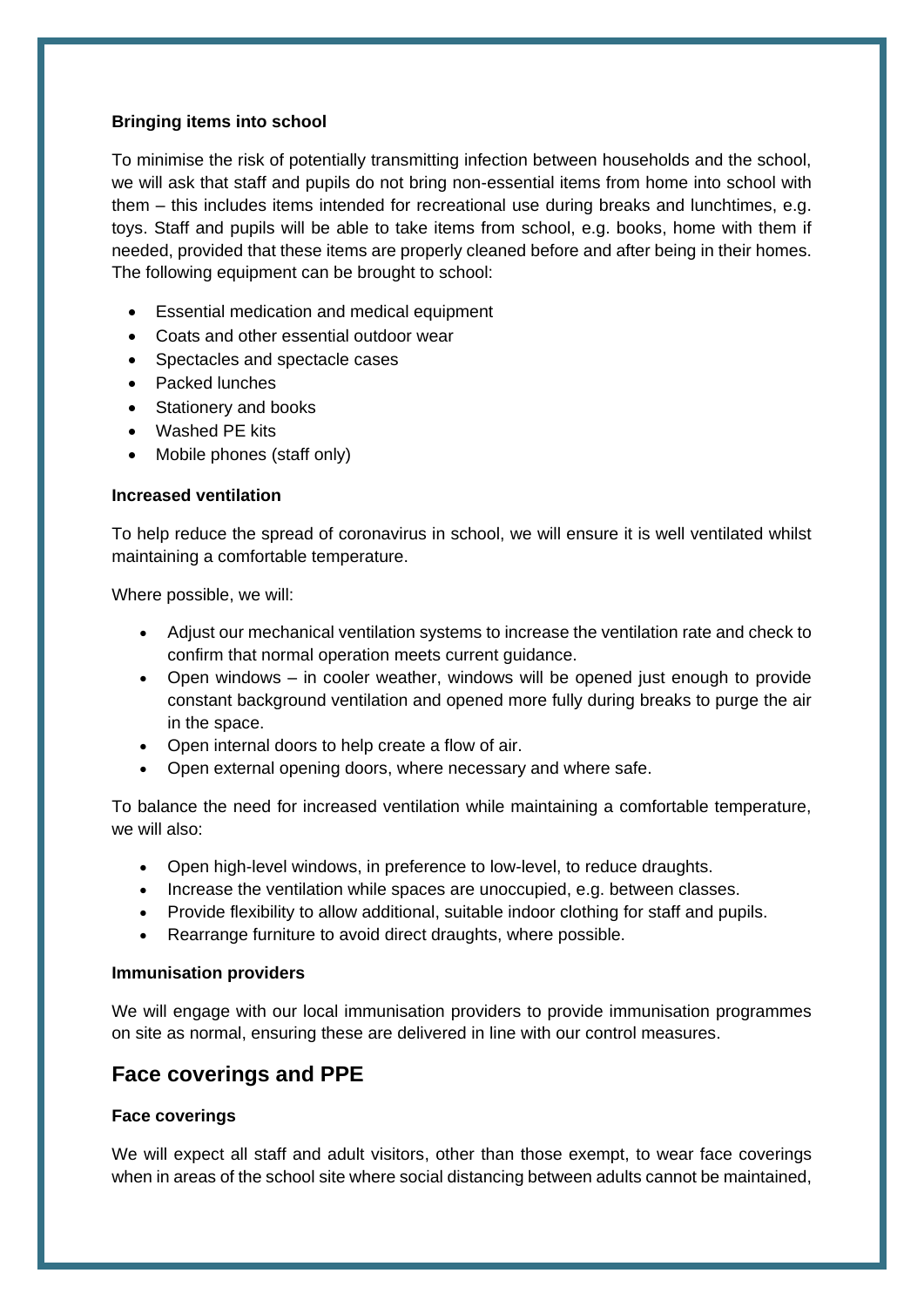#### **Bringing items into school**

To minimise the risk of potentially transmitting infection between households and the school, we will ask that staff and pupils do not bring non-essential items from home into school with them – this includes items intended for recreational use during breaks and lunchtimes, e.g. toys. Staff and pupils will be able to take items from school, e.g. books, home with them if needed, provided that these items are properly cleaned before and after being in their homes. The following equipment can be brought to school:

- Essential medication and medical equipment
- Coats and other essential outdoor wear
- Spectacles and spectacle cases
- Packed lunches
- Stationery and books
- Washed PE kits
- Mobile phones (staff only)

#### **Increased ventilation**

To help reduce the spread of coronavirus in school, we will ensure it is well ventilated whilst maintaining a comfortable temperature.

Where possible, we will:

- Adjust our mechanical ventilation systems to increase the ventilation rate and check to confirm that normal operation meets current guidance.
- Open windows in cooler weather, windows will be opened just enough to provide constant background ventilation and opened more fully during breaks to purge the air in the space.
- Open internal doors to help create a flow of air.
- Open external opening doors, where necessary and where safe.

To balance the need for increased ventilation while maintaining a comfortable temperature, we will also:

- Open high-level windows, in preference to low-level, to reduce draughts.
- Increase the ventilation while spaces are unoccupied, e.g. between classes.
- Provide flexibility to allow additional, suitable indoor clothing for staff and pupils.
- Rearrange furniture to avoid direct draughts, where possible.

#### **Immunisation providers**

We will engage with our local immunisation providers to provide immunisation programmes on site as normal, ensuring these are delivered in line with our control measures.

## <span id="page-8-0"></span>**Face coverings and PPE**

#### **Face coverings**

We will expect all staff and adult visitors, other than those exempt, to wear face coverings when in areas of the school site where social distancing between adults cannot be maintained,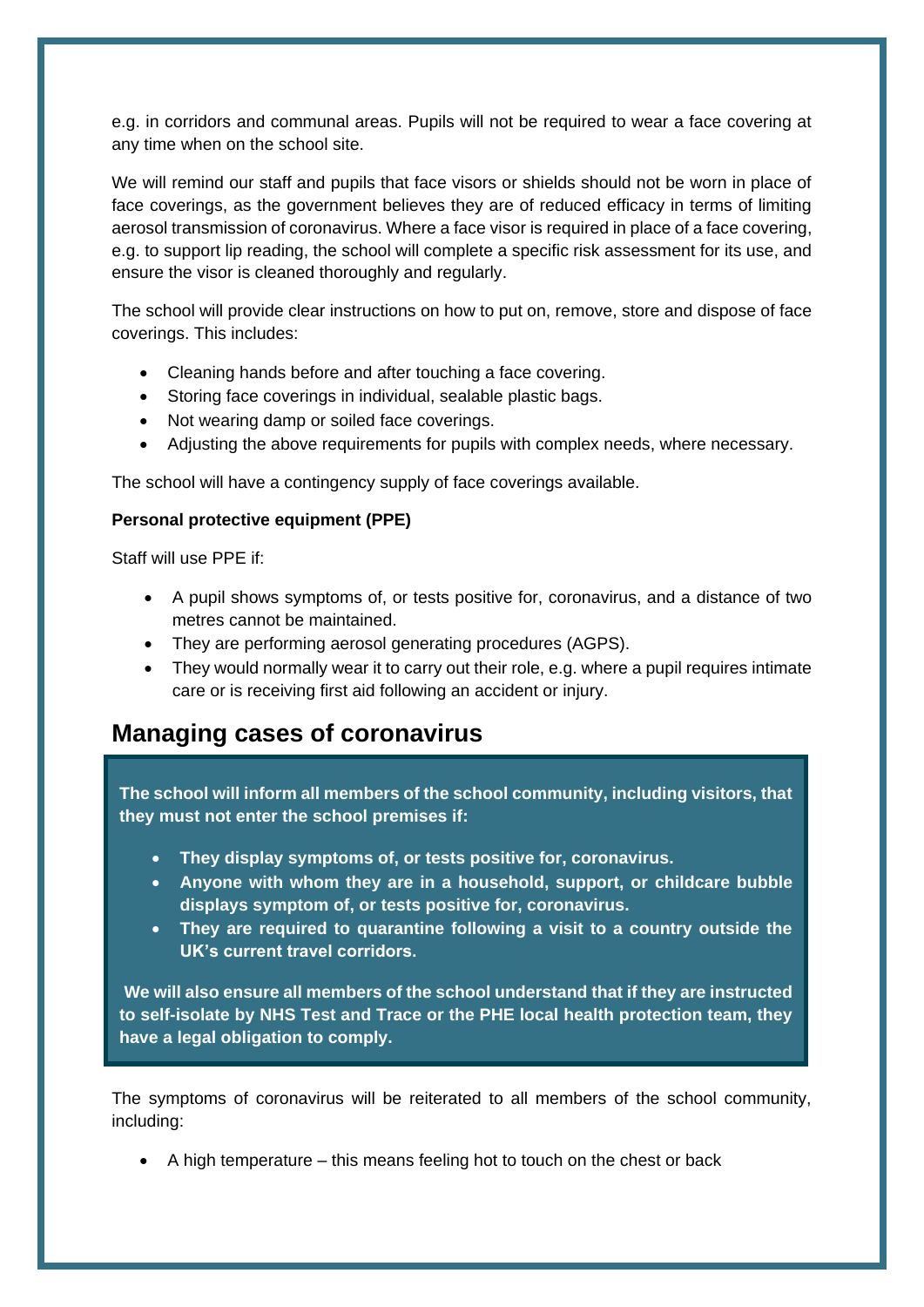e.g. in corridors and communal areas. Pupils will not be required to wear a face covering at any time when on the school site.

We will remind our staff and pupils that face visors or shields should not be worn in place of face coverings, as the government believes they are of reduced efficacy in terms of limiting aerosol transmission of coronavirus. Where a face visor is required in place of a face covering, e.g. to support lip reading, the school will complete a specific risk assessment for its use, and ensure the visor is cleaned thoroughly and regularly.

The school will provide clear instructions on how to put on, remove, store and dispose of face coverings. This includes:

- Cleaning hands before and after touching a face covering.
- Storing face coverings in individual, sealable plastic bags.
- Not wearing damp or soiled face coverings.
- Adjusting the above requirements for pupils with complex needs, where necessary.

The school will have a contingency supply of face coverings available.

#### **Personal protective equipment (PPE)**

Staff will use PPE if:

- A pupil shows symptoms of, or tests positive for, coronavirus, and a distance of two metres cannot be maintained.
- They are performing aerosol generating procedures (AGPS).
- They would normally wear it to carry out their role, e.g. where a pupil requires intimate care or is receiving first aid following an accident or injury.

## **Managing cases of coronavirus**

<span id="page-9-0"></span>**The school will inform all members of the school community, including visitors, that they must not enter the school premises if:**

- **They display symptoms of, or tests positive for, coronavirus.**
- **Anyone with whom they are in a household, support, or childcare bubble displays symptom of, or tests positive for, coronavirus.**
- **They are required to quarantine following a visit to a country outside the UK's current travel corridors.**

**We will also ensure all members of the school understand that if they are instructed to self-isolate by NHS Test and Trace or the PHE local health protection team, they have a legal obligation to comply.**

The symptoms of coronavirus will be reiterated to all members of the school community, including:

• A high temperature – this means feeling hot to touch on the chest or back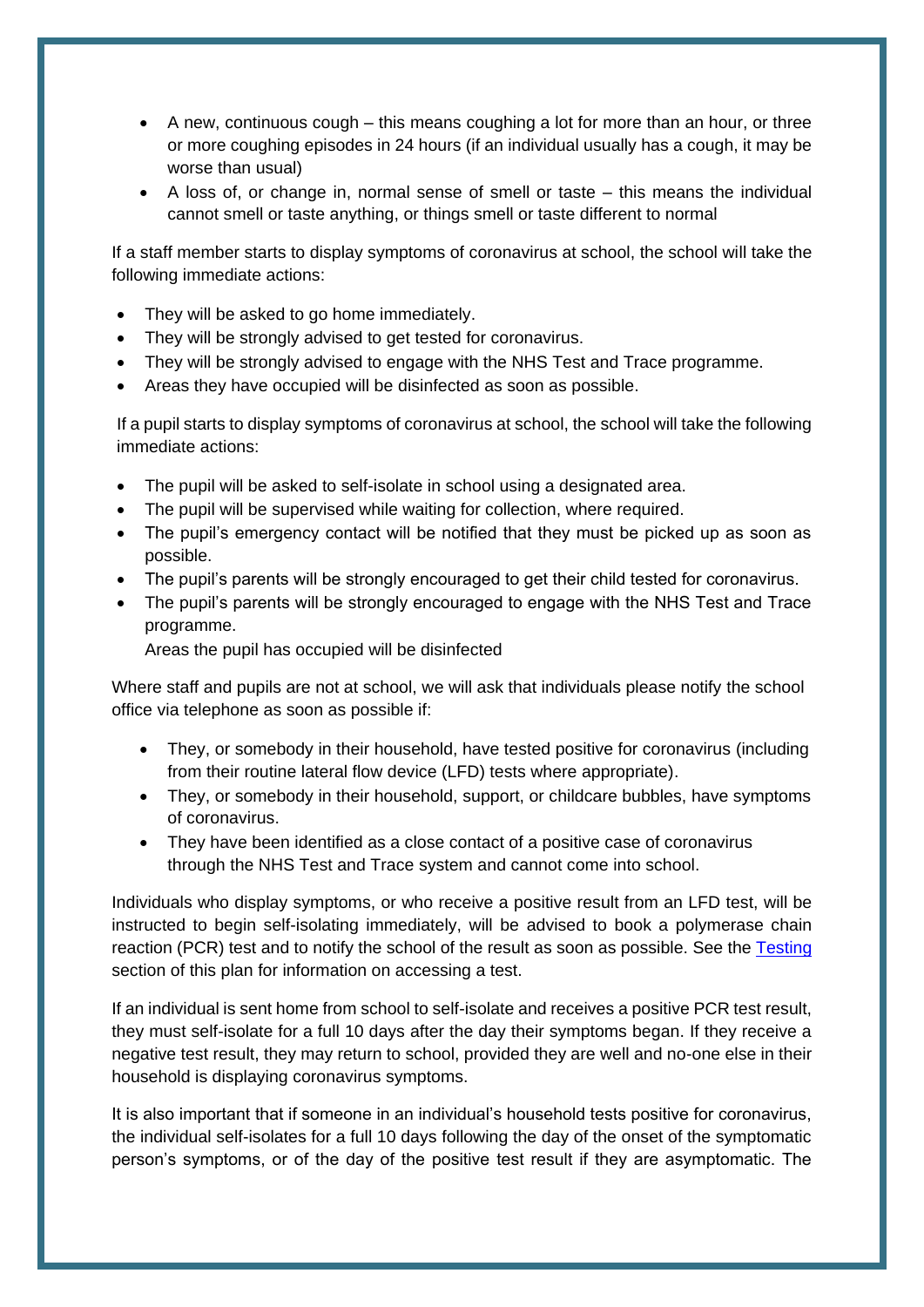- A new, continuous cough this means coughing a lot for more than an hour, or three or more coughing episodes in 24 hours (if an individual usually has a cough, it may be worse than usual)
- A loss of, or change in, normal sense of smell or taste this means the individual cannot smell or taste anything, or things smell or taste different to normal

If a staff member starts to display symptoms of coronavirus at school, the school will take the following immediate actions:

- They will be asked to go home immediately.
- They will be strongly advised to get tested for coronavirus.
- They will be strongly advised to engage with the NHS Test and Trace programme.
- Areas they have occupied will be disinfected as soon as possible.

If a pupil starts to display symptoms of coronavirus at school, the school will take the following immediate actions:

- The pupil will be asked to self-isolate in school using a designated area.
- The pupil will be supervised while waiting for collection, where required.
- The pupil's emergency contact will be notified that they must be picked up as soon as possible.
- The pupil's parents will be strongly encouraged to get their child tested for coronavirus.
- The pupil's parents will be strongly encouraged to engage with the NHS Test and Trace programme.

Areas the pupil has occupied will be disinfected

Where staff and pupils are not at school, we will ask that individuals please notify the school office via telephone as soon as possible if:

- They, or somebody in their household, have tested positive for coronavirus (including from their routine lateral flow device (LFD) tests where appropriate).
- They, or somebody in their household, support, or childcare bubbles, have symptoms of coronavirus.
- They have been identified as a close contact of a positive case of coronavirus through the NHS Test and Trace system and cannot come into school.

Individuals who display symptoms, or who receive a positive result from an LFD test, will be instructed to begin self-isolating immediately, will be advised to book a polymerase chain reaction (PCR) test and to notify the school of the result as soon as possible. See the [Testing](#page-11-0) section of this plan for information on accessing a test.

If an individual is sent home from school to self-isolate and receives a positive PCR test result, they must self-isolate for a full 10 days after the day their symptoms began. If they receive a negative test result, they may return to school, provided they are well and no-one else in their household is displaying coronavirus symptoms.

It is also important that if someone in an individual's household tests positive for coronavirus, the individual self-isolates for a full 10 days following the day of the onset of the symptomatic person's symptoms, or of the day of the positive test result if they are asymptomatic. The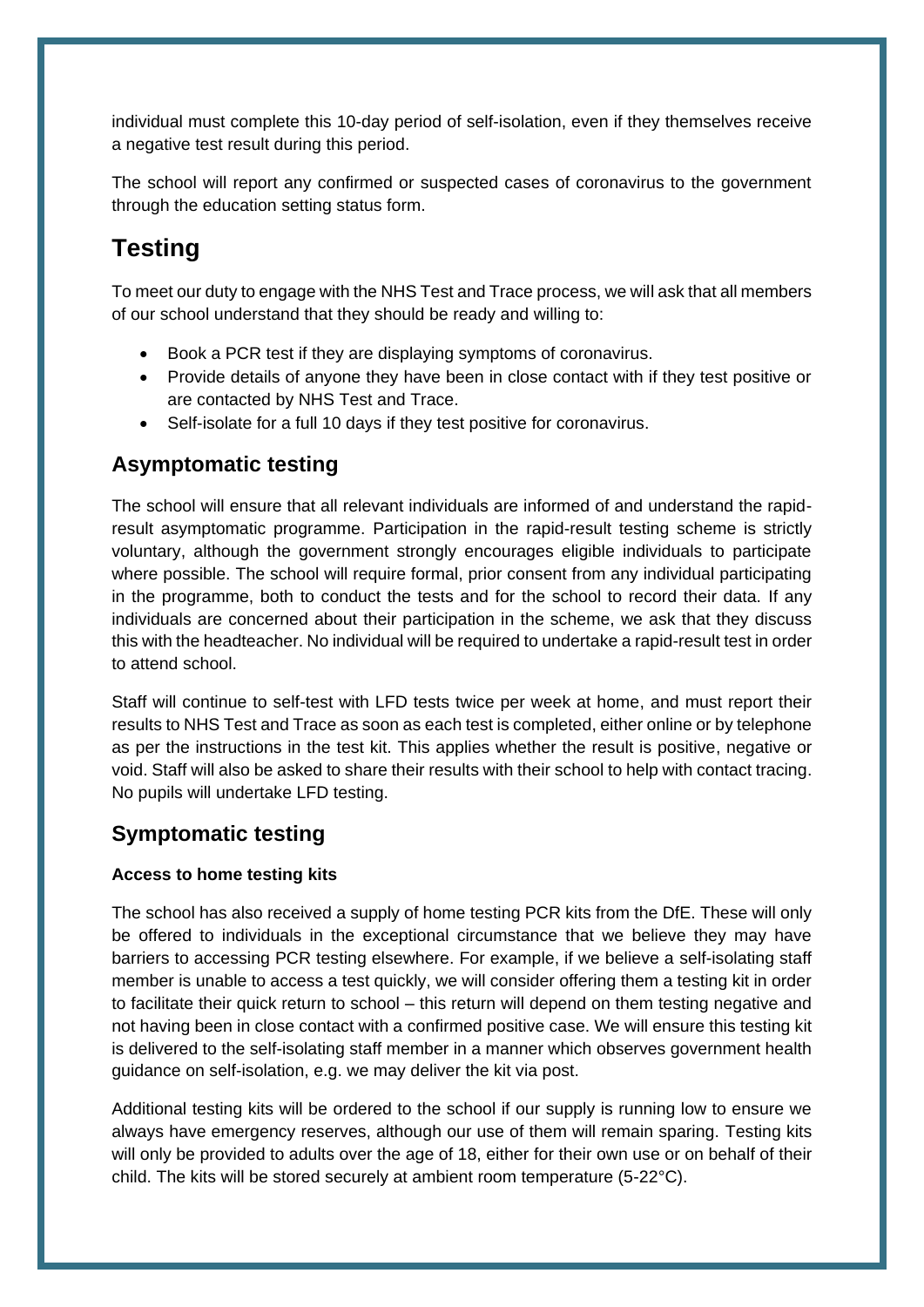individual must complete this 10-day period of self-isolation, even if they themselves receive a negative test result during this period.

The school will report any confirmed or suspected cases of coronavirus to the government through the education setting status form.

# <span id="page-11-0"></span>**Testing**

To meet our duty to engage with the NHS Test and Trace process, we will ask that all members of our school understand that they should be ready and willing to:

- Book a PCR test if they are displaying symptoms of coronavirus.
- Provide details of anyone they have been in close contact with if they test positive or are contacted by NHS Test and Trace.
- Self-isolate for a full 10 days if they test positive for coronavirus.

## <span id="page-11-1"></span>**Asymptomatic testing**

The school will ensure that all relevant individuals are informed of and understand the rapidresult asymptomatic programme. Participation in the rapid-result testing scheme is strictly voluntary, although the government strongly encourages eligible individuals to participate where possible. The school will require formal, prior consent from any individual participating in the programme, both to conduct the tests and for the school to record their data. If any individuals are concerned about their participation in the scheme, we ask that they discuss this with the headteacher. No individual will be required to undertake a rapid-result test in order to attend school.

Staff will continue to self-test with LFD tests twice per week at home, and must report their results to NHS Test and Trace as soon as each test is completed, either online or by telephone as per the instructions in the test kit. This applies whether the result is positive, negative or void. Staff will also be asked to share their results with their school to help with contact tracing. No pupils will undertake LFD testing.

## <span id="page-11-2"></span>**Symptomatic testing**

#### **Access to home testing kits**

The school has also received a supply of home testing PCR kits from the DfE. These will only be offered to individuals in the exceptional circumstance that we believe they may have barriers to accessing PCR testing elsewhere. For example, if we believe a self-isolating staff member is unable to access a test quickly, we will consider offering them a testing kit in order to facilitate their quick return to school – this return will depend on them testing negative and not having been in close contact with a confirmed positive case. We will ensure this testing kit is delivered to the self-isolating staff member in a manner which observes government health guidance on self-isolation, e.g. we may deliver the kit via post.

Additional testing kits will be ordered to the school if our supply is running low to ensure we always have emergency reserves, although our use of them will remain sparing. Testing kits will only be provided to adults over the age of 18, either for their own use or on behalf of their child. The kits will be stored securely at ambient room temperature (5-22°C).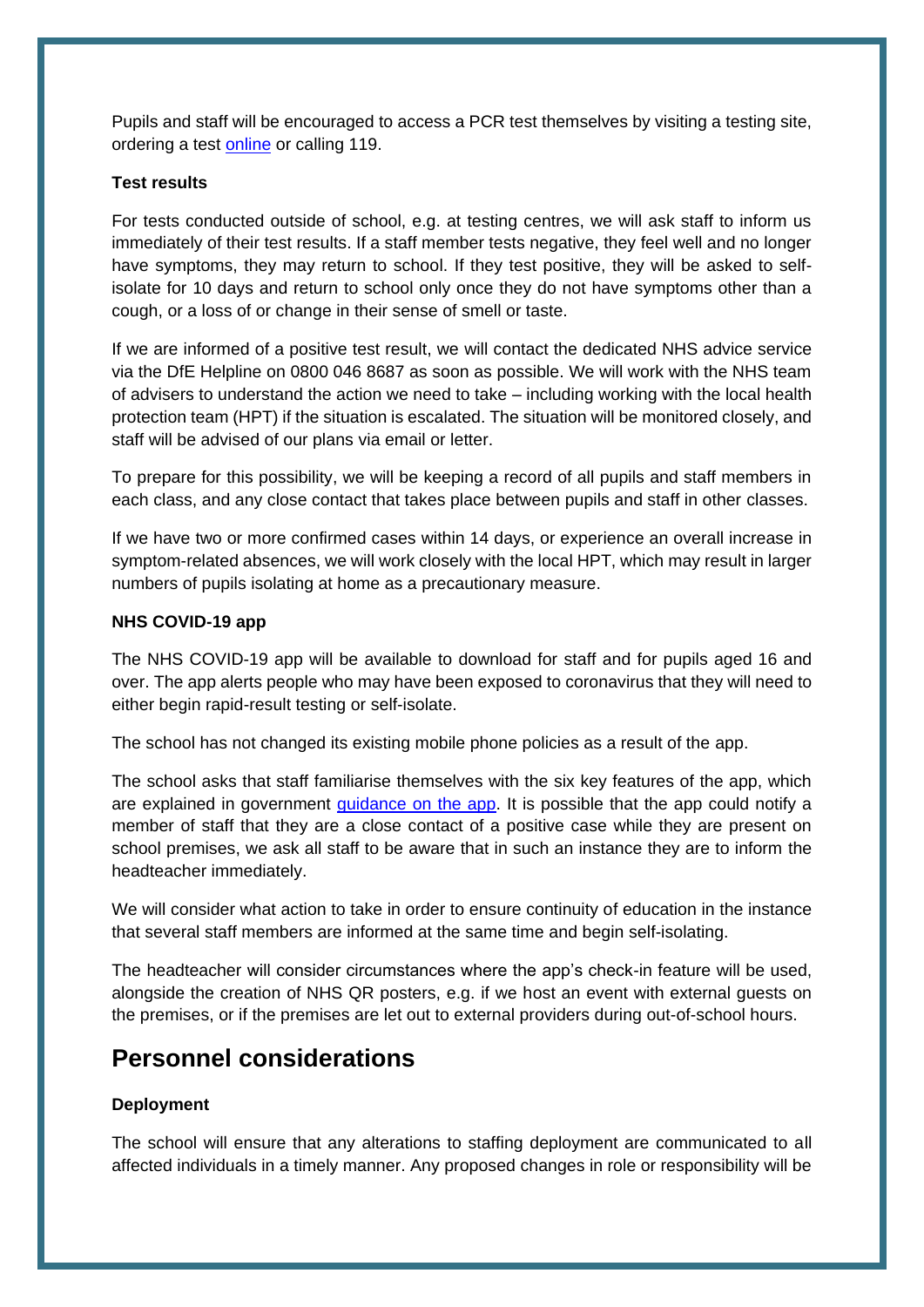Pupils and staff will be encouraged to access a PCR test themselves by visiting a testing site, ordering a test **online** or calling 119.

#### **Test results**

For tests conducted outside of school, e.g. at testing centres, we will ask staff to inform us immediately of their test results. If a staff member tests negative, they feel well and no longer have symptoms, they may return to school. If they test positive, they will be asked to selfisolate for 10 days and return to school only once they do not have symptoms other than a cough, or a loss of or change in their sense of smell or taste.

If we are informed of a positive test result, we will contact the dedicated NHS advice service via the DfE Helpline on 0800 046 8687 as soon as possible. We will work with the NHS team of advisers to understand the action we need to take – including working with the local health protection team (HPT) if the situation is escalated. The situation will be monitored closely, and staff will be advised of our plans via email or letter.

To prepare for this possibility, we will be keeping a record of all pupils and staff members in each class, and any close contact that takes place between pupils and staff in other classes.

If we have two or more confirmed cases within 14 days, or experience an overall increase in symptom-related absences, we will work closely with the local HPT, which may result in larger numbers of pupils isolating at home as a precautionary measure.

#### **NHS COVID-19 app**

The NHS COVID-19 app will be available to download for staff and for pupils aged 16 and over. The app alerts people who may have been exposed to coronavirus that they will need to either begin rapid-result testing or self-isolate.

The school has not changed its existing mobile phone policies as a result of the app.

The school asks that staff familiarise themselves with the six key features of the app, which are explained in government *guidance on the app*. It is possible that the app could notify a member of staff that they are a close contact of a positive case while they are present on school premises, we ask all staff to be aware that in such an instance they are to inform the headteacher immediately.

We will consider what action to take in order to ensure continuity of education in the instance that several staff members are informed at the same time and begin self-isolating.

The headteacher will consider circumstances where the app's check-in feature will be used, alongside the creation of NHS QR posters, e.g. if we host an event with external guests on the premises, or if the premises are let out to external providers during out-of-school hours.

## <span id="page-12-0"></span>**Personnel considerations**

#### **Deployment**

The school will ensure that any alterations to staffing deployment are communicated to all affected individuals in a timely manner. Any proposed changes in role or responsibility will be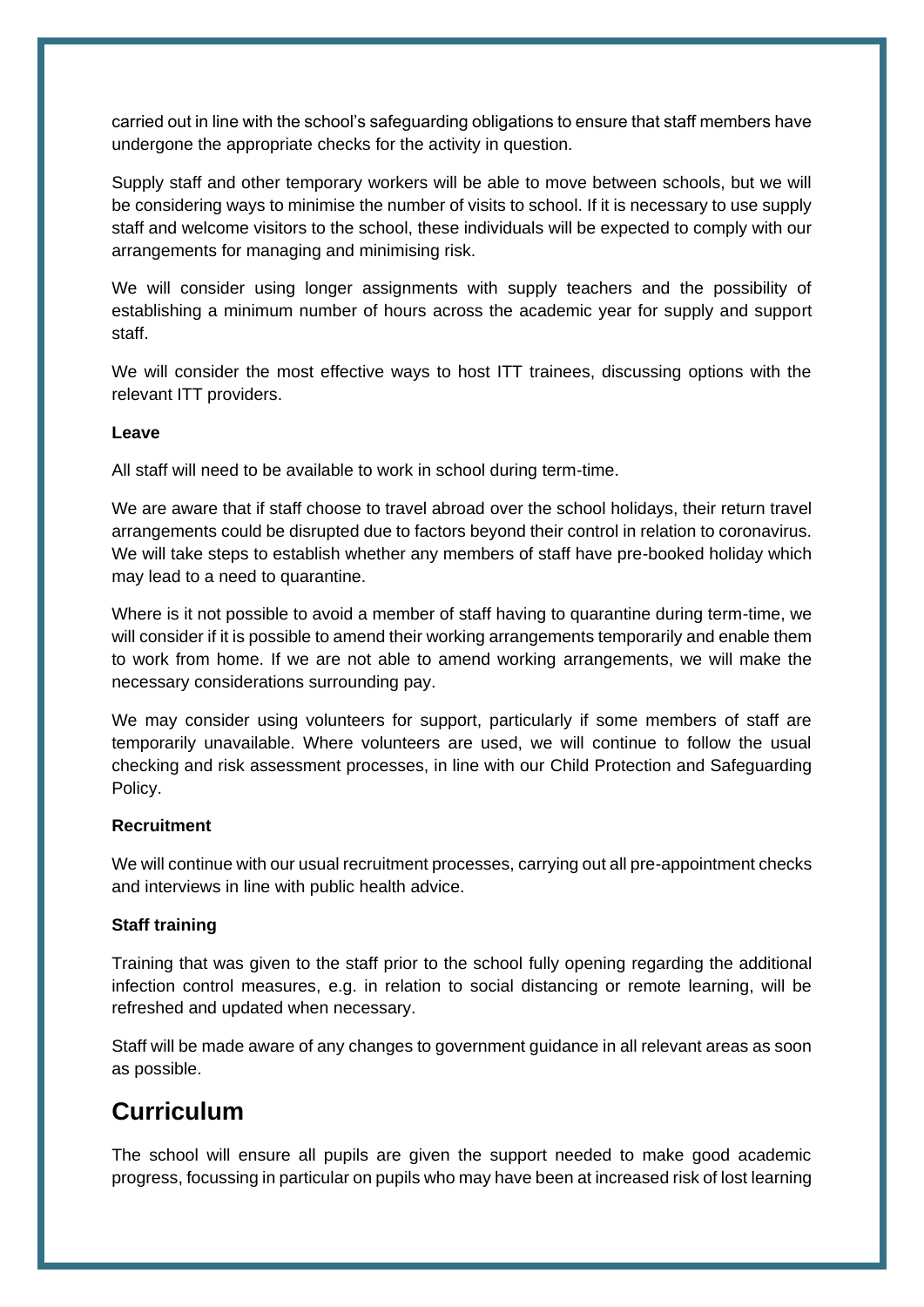carried out in line with the school's safeguarding obligations to ensure that staff members have undergone the appropriate checks for the activity in question.

Supply staff and other temporary workers will be able to move between schools, but we will be considering ways to minimise the number of visits to school. If it is necessary to use supply staff and welcome visitors to the school, these individuals will be expected to comply with our arrangements for managing and minimising risk.

We will consider using longer assignments with supply teachers and the possibility of establishing a minimum number of hours across the academic year for supply and support staff.

We will consider the most effective ways to host ITT trainees, discussing options with the relevant ITT providers.

#### **Leave**

All staff will need to be available to work in school during term-time.

We are aware that if staff choose to travel abroad over the school holidays, their return travel arrangements could be disrupted due to factors beyond their control in relation to coronavirus. We will take steps to establish whether any members of staff have pre-booked holiday which may lead to a need to quarantine.

Where is it not possible to avoid a member of staff having to quarantine during term-time, we will consider if it is possible to amend their working arrangements temporarily and enable them to work from home. If we are not able to amend working arrangements, we will make the necessary considerations surrounding pay.

We may consider using volunteers for support, particularly if some members of staff are temporarily unavailable. Where volunteers are used, we will continue to follow the usual checking and risk assessment processes, in line with our Child Protection and Safeguarding Policy.

#### **Recruitment**

We will continue with our usual recruitment processes, carrying out all pre-appointment checks and interviews in line with public health advice.

#### **Staff training**

Training that was given to the staff prior to the school fully opening regarding the additional infection control measures, e.g. in relation to social distancing or remote learning, will be refreshed and updated when necessary.

Staff will be made aware of any changes to government guidance in all relevant areas as soon as possible.

## <span id="page-13-0"></span>**Curriculum**

The school will ensure all pupils are given the support needed to make good academic progress, focussing in particular on pupils who may have been at increased risk of lost learning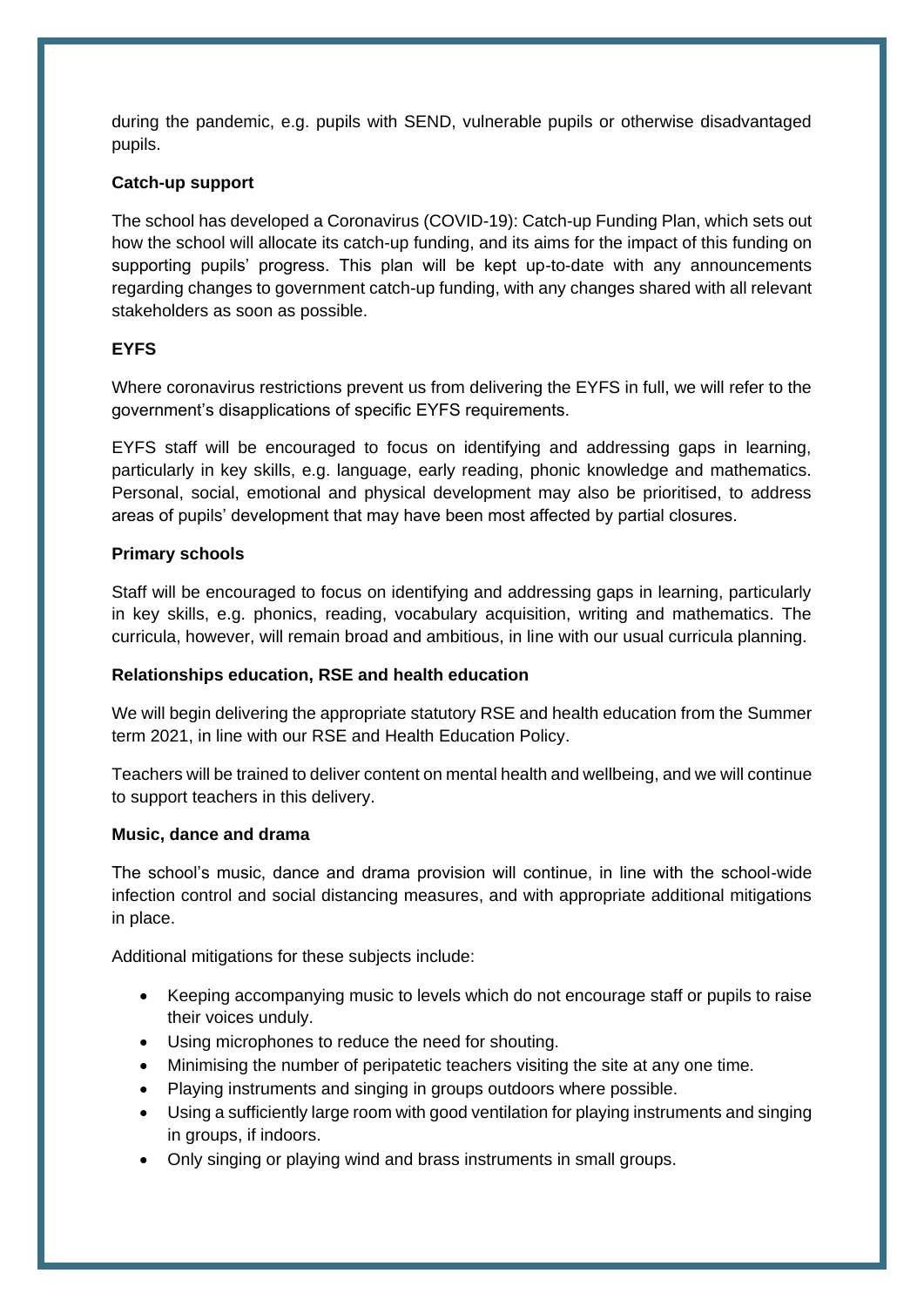during the pandemic, e.g. pupils with SEND, vulnerable pupils or otherwise disadvantaged pupils.

#### **Catch-up support**

The school has developed a Coronavirus (COVID-19): Catch-up Funding Plan, which sets out how the school will allocate its catch-up funding, and its aims for the impact of this funding on supporting pupils' progress. This plan will be kept up-to-date with any announcements regarding changes to government catch-up funding, with any changes shared with all relevant stakeholders as soon as possible.

#### **EYFS**

Where coronavirus restrictions prevent us from delivering the EYFS in full, we will refer to the government's disapplications of specific EYFS requirements.

EYFS staff will be encouraged to focus on identifying and addressing gaps in learning, particularly in key skills, e.g. language, early reading, phonic knowledge and mathematics. Personal, social, emotional and physical development may also be prioritised, to address areas of pupils' development that may have been most affected by partial closures.

#### **Primary schools**

Staff will be encouraged to focus on identifying and addressing gaps in learning, particularly in key skills, e.g. phonics, reading, vocabulary acquisition, writing and mathematics. The curricula, however, will remain broad and ambitious, in line with our usual curricula planning.

#### **Relationships education, RSE and health education**

We will begin delivering the appropriate statutory RSE and health education from the Summer term 2021, in line with our RSE and Health Education Policy.

Teachers will be trained to deliver content on mental health and wellbeing, and we will continue to support teachers in this delivery.

#### **Music, dance and drama**

The school's music, dance and drama provision will continue, in line with the school-wide infection control and social distancing measures, and with appropriate additional mitigations in place.

Additional mitigations for these subjects include:

- Keeping accompanying music to levels which do not encourage staff or pupils to raise their voices unduly.
- Using microphones to reduce the need for shouting.
- Minimising the number of peripatetic teachers visiting the site at any one time.
- Playing instruments and singing in groups outdoors where possible.
- Using a sufficiently large room with good ventilation for playing instruments and singing in groups, if indoors.
- Only singing or playing wind and brass instruments in small groups.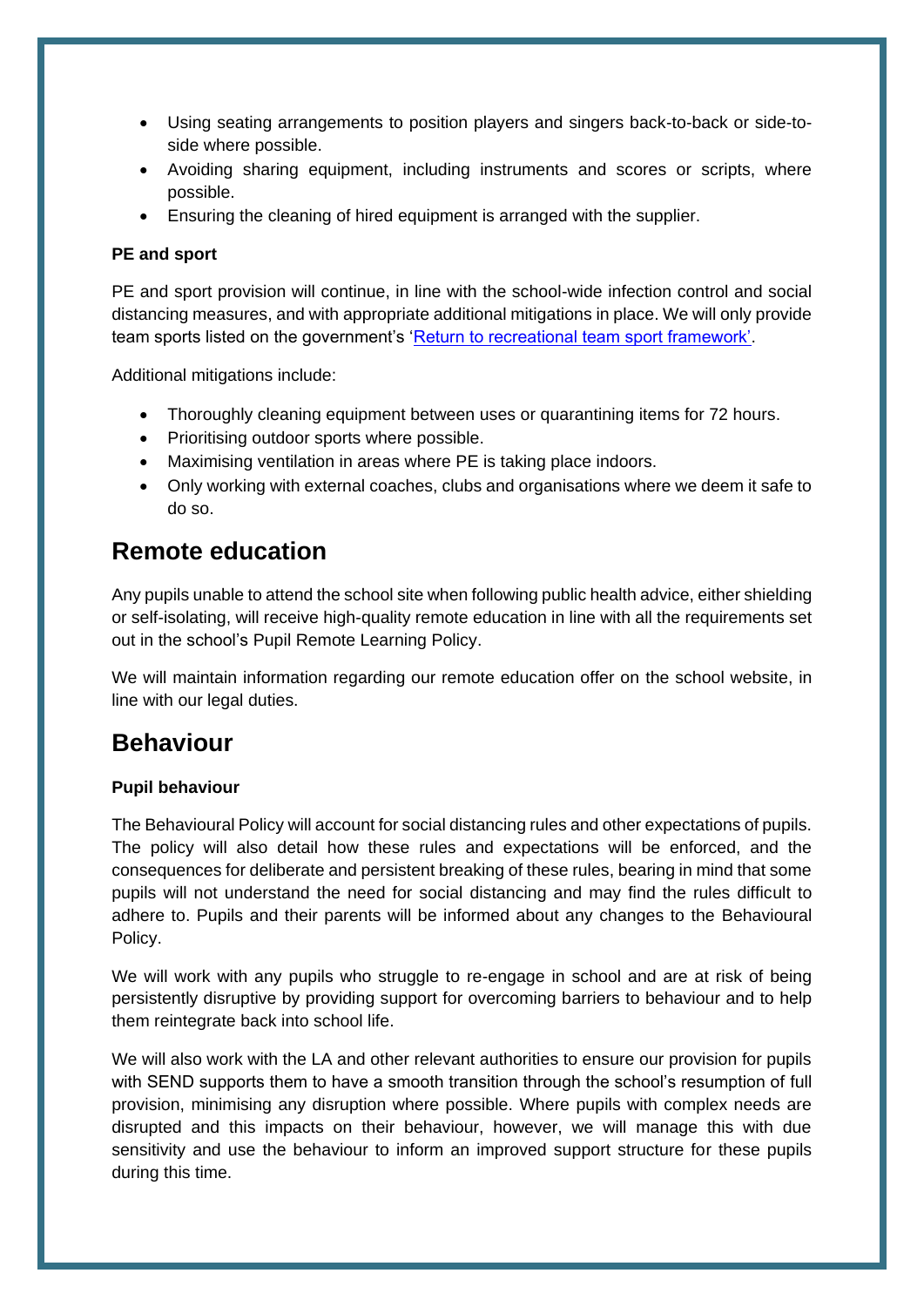- Using seating arrangements to position players and singers back-to-back or side-toside where possible.
- Avoiding sharing equipment, including instruments and scores or scripts, where possible.
- Ensuring the cleaning of hired equipment is arranged with the supplier.

#### **PE and sport**

PE and sport provision will continue, in line with the school-wide infection control and social distancing measures, and with appropriate additional mitigations in place. We will only provide team sports listed on the government's ['Return to recreational team sport framework'.](https://www.gov.uk/government/publications/coronavirus-covid-19-guidance-on-phased-return-of-sport-and-recreation/return-to-recreational-team-sport-framework)

Additional mitigations include:

- Thoroughly cleaning equipment between uses or quarantining items for 72 hours.
- Prioritising outdoor sports where possible.
- Maximising ventilation in areas where PE is taking place indoors.
- Only working with external coaches, clubs and organisations where we deem it safe to do so.

## <span id="page-15-0"></span>**Remote education**

Any pupils unable to attend the school site when following public health advice, either shielding or self-isolating, will receive high-quality remote education in line with all the requirements set out in the school's Pupil Remote Learning Policy.

We will maintain information regarding our remote education offer on the school website, in line with our legal duties.

## <span id="page-15-1"></span>**Behaviour**

#### **Pupil behaviour**

The Behavioural Policy will account for social distancing rules and other expectations of pupils. The policy will also detail how these rules and expectations will be enforced, and the consequences for deliberate and persistent breaking of these rules, bearing in mind that some pupils will not understand the need for social distancing and may find the rules difficult to adhere to. Pupils and their parents will be informed about any changes to the Behavioural Policy.

We will work with any pupils who struggle to re-engage in school and are at risk of being persistently disruptive by providing support for overcoming barriers to behaviour and to help them reintegrate back into school life.

We will also work with the LA and other relevant authorities to ensure our provision for pupils with SEND supports them to have a smooth transition through the school's resumption of full provision, minimising any disruption where possible. Where pupils with complex needs are disrupted and this impacts on their behaviour, however, we will manage this with due sensitivity and use the behaviour to inform an improved support structure for these pupils during this time.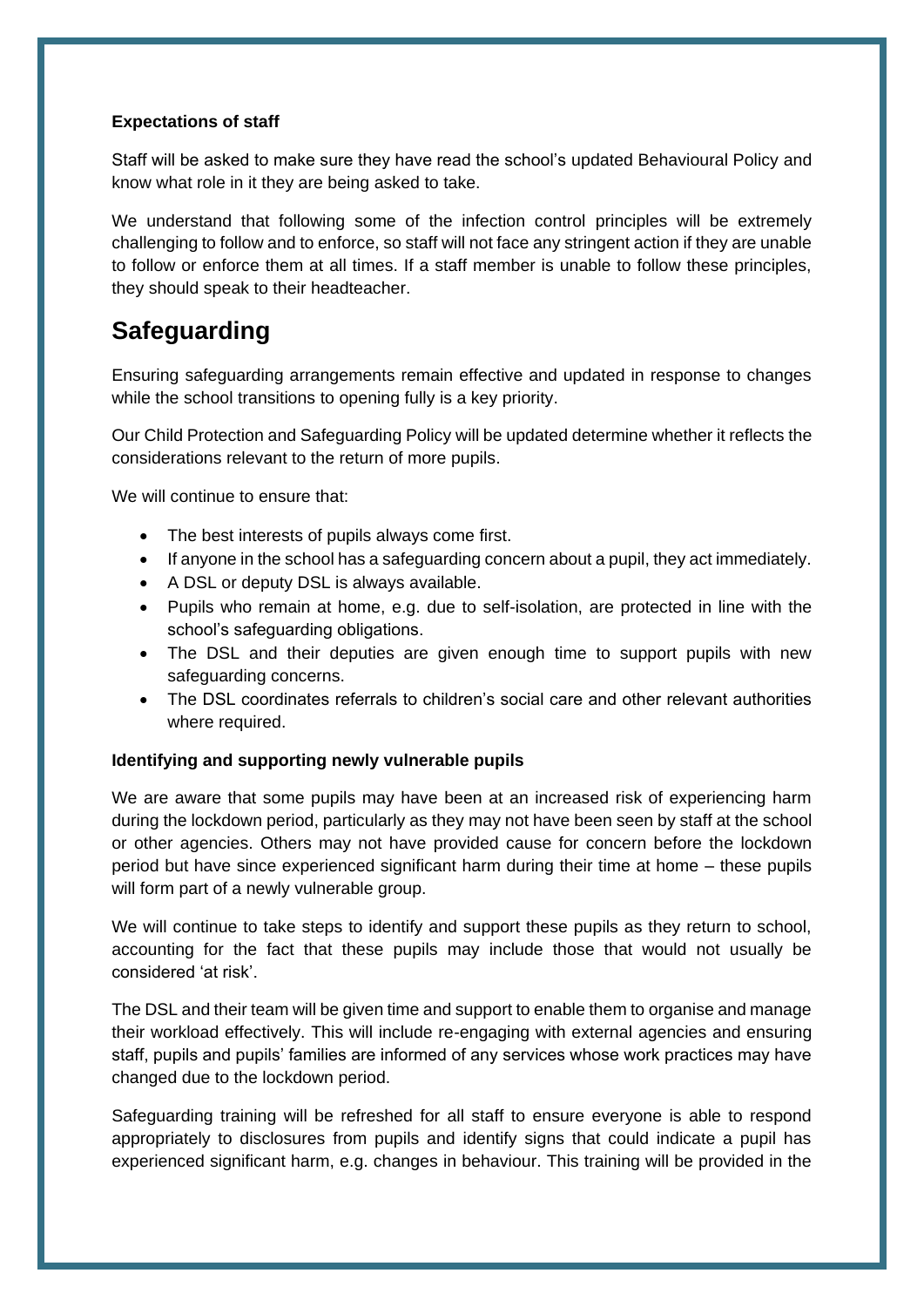#### **Expectations of staff**

Staff will be asked to make sure they have read the school's updated Behavioural Policy and know what role in it they are being asked to take.

We understand that following some of the infection control principles will be extremely challenging to follow and to enforce, so staff will not face any stringent action if they are unable to follow or enforce them at all times. If a staff member is unable to follow these principles, they should speak to their headteacher.

# <span id="page-16-0"></span>**Safeguarding**

Ensuring safeguarding arrangements remain effective and updated in response to changes while the school transitions to opening fully is a key priority.

Our Child Protection and Safeguarding Policy will be updated determine whether it reflects the considerations relevant to the return of more pupils.

We will continue to ensure that:

- The best interests of pupils always come first.
- If anyone in the school has a safeguarding concern about a pupil, they act immediately.
- A DSL or deputy DSL is always available.
- Pupils who remain at home, e.g. due to self-isolation, are protected in line with the school's safeguarding obligations.
- The DSL and their deputies are given enough time to support pupils with new safeguarding concerns.
- The DSL coordinates referrals to children's social care and other relevant authorities where required.

#### **Identifying and supporting newly vulnerable pupils**

We are aware that some pupils may have been at an increased risk of experiencing harm during the lockdown period, particularly as they may not have been seen by staff at the school or other agencies. Others may not have provided cause for concern before the lockdown period but have since experienced significant harm during their time at home – these pupils will form part of a newly vulnerable group.

We will continue to take steps to identify and support these pupils as they return to school, accounting for the fact that these pupils may include those that would not usually be considered 'at risk'.

The DSL and their team will be given time and support to enable them to organise and manage their workload effectively. This will include re-engaging with external agencies and ensuring staff, pupils and pupils' families are informed of any services whose work practices may have changed due to the lockdown period.

Safeguarding training will be refreshed for all staff to ensure everyone is able to respond appropriately to disclosures from pupils and identify signs that could indicate a pupil has experienced significant harm, e.g. changes in behaviour. This training will be provided in the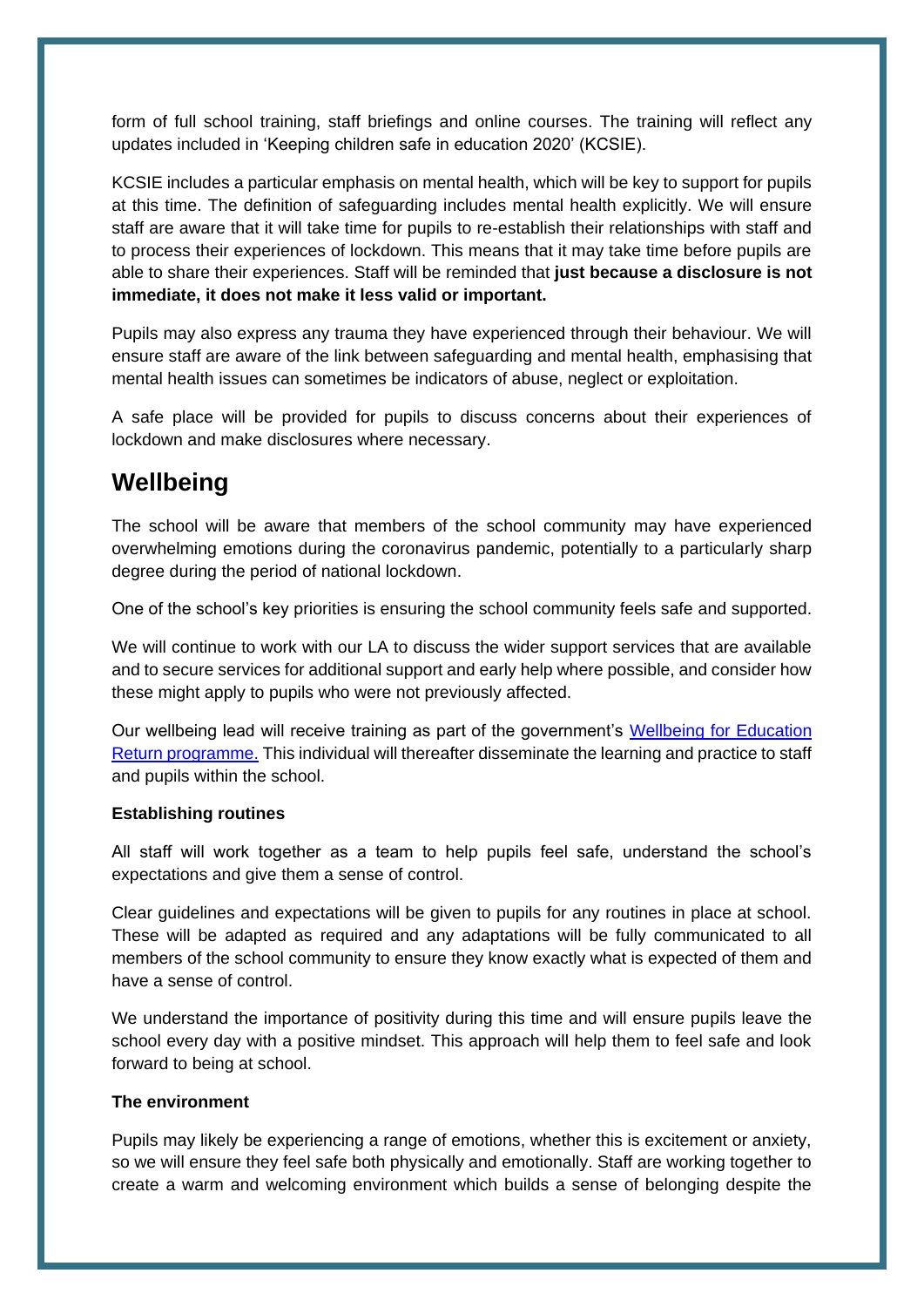form of full school training, staff briefings and online courses. The training will reflect any updates included in 'Keeping children safe in education 2020' (KCSIE).

KCSIE includes a particular emphasis on mental health, which will be key to support for pupils at this time. The definition of safeguarding includes mental health explicitly. We will ensure staff are aware that it will take time for pupils to re-establish their relationships with staff and to process their experiences of lockdown. This means that it may take time before pupils are able to share their experiences. Staff will be reminded that **just because a disclosure is not immediate, it does not make it less valid or important.**

Pupils may also express any trauma they have experienced through their behaviour. We will ensure staff are aware of the link between safeguarding and mental health, emphasising that mental health issues can sometimes be indicators of abuse, neglect or exploitation.

A safe place will be provided for pupils to discuss concerns about their experiences of lockdown and make disclosures where necessary.

## <span id="page-17-0"></span>**Wellbeing**

The school will be aware that members of the school community may have experienced overwhelming emotions during the coronavirus pandemic, potentially to a particularly sharp degree during the period of national lockdown.

One of the school's key priorities is ensuring the school community feels safe and supported.

We will continue to work with our LA to discuss the wider support services that are available and to secure services for additional support and early help where possible, and consider how these might apply to pupils who were not previously affected.

Our wellbeing lead will receive training as part of the government's [Wellbeing for Education](https://www.gov.uk/government/news/8m-programme-to-boost-pupil-and-teacher-wellbeing) [Return programme.](https://www.gov.uk/government/news/8m-programme-to-boost-pupil-and-teacher-wellbeing) This individual will thereafter disseminate the learning and practice to staff and pupils within the school.

#### **Establishing routines**

All staff will work together as a team to help pupils feel safe, understand the school's expectations and give them a sense of control.

Clear guidelines and expectations will be given to pupils for any routines in place at school. These will be adapted as required and any adaptations will be fully communicated to all members of the school community to ensure they know exactly what is expected of them and have a sense of control.

We understand the importance of positivity during this time and will ensure pupils leave the school every day with a positive mindset. This approach will help them to feel safe and look forward to being at school.

#### **The environment**

Pupils may likely be experiencing a range of emotions, whether this is excitement or anxiety, so we will ensure they feel safe both physically and emotionally. Staff are working together to create a warm and welcoming environment which builds a sense of belonging despite the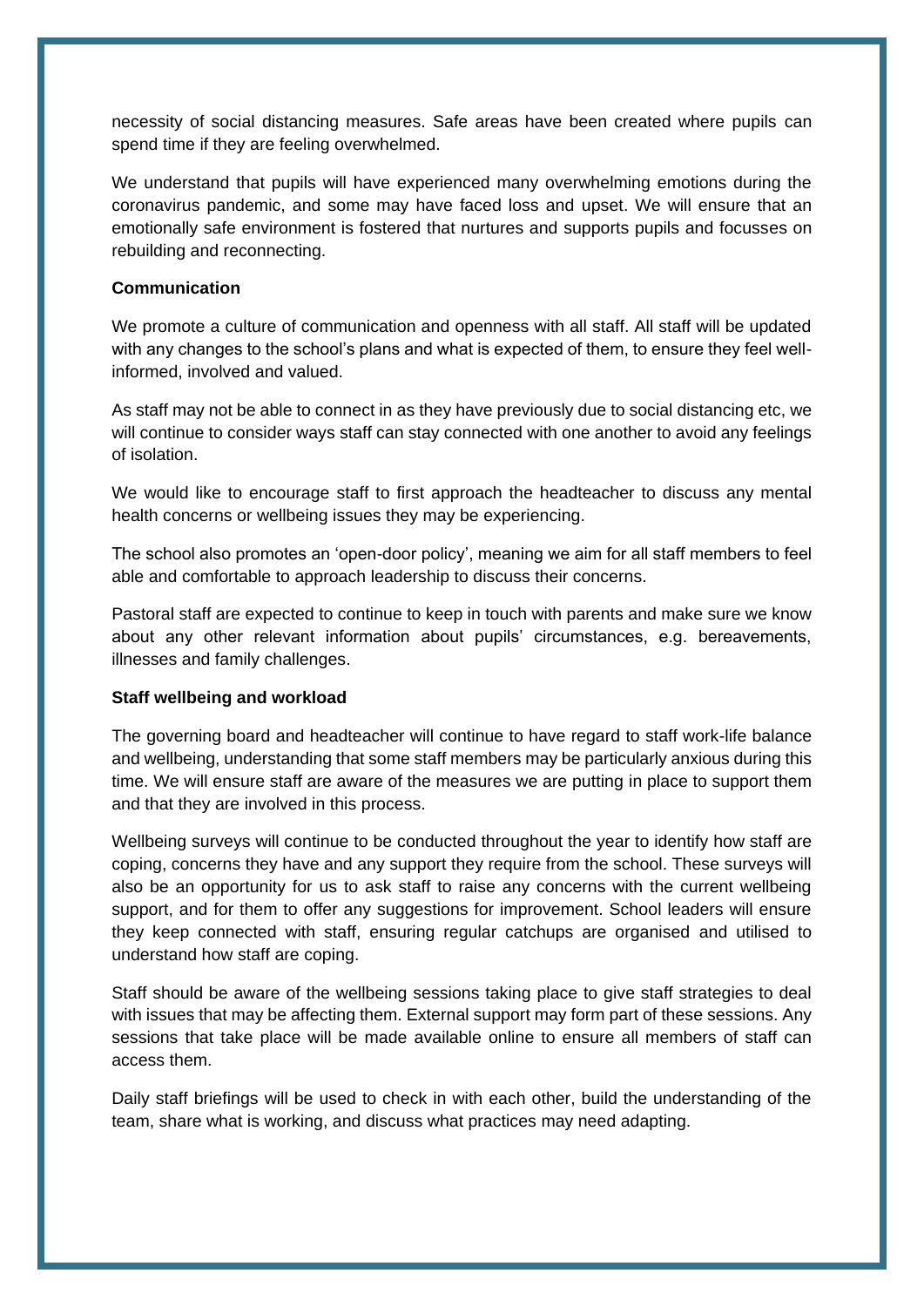necessity of social distancing measures. Safe areas have been created where pupils can spend time if they are feeling overwhelmed.

We understand that pupils will have experienced many overwhelming emotions during the coronavirus pandemic, and some may have faced loss and upset. We will ensure that an emotionally safe environment is fostered that nurtures and supports pupils and focusses on rebuilding and reconnecting.

#### **Communication**

We promote a culture of communication and openness with all staff. All staff will be updated with any changes to the school's plans and what is expected of them, to ensure they feel wellinformed, involved and valued.

As staff may not be able to connect in as they have previously due to social distancing etc, we will continue to consider ways staff can stay connected with one another to avoid any feelings of isolation.

We would like to encourage staff to first approach the headteacher to discuss any mental health concerns or wellbeing issues they may be experiencing.

The school also promotes an 'open-door policy', meaning we aim for all staff members to feel able and comfortable to approach leadership to discuss their concerns.

Pastoral staff are expected to continue to keep in touch with parents and make sure we know about any other relevant information about pupils' circumstances, e.g. bereavements, illnesses and family challenges.

#### **Staff wellbeing and workload**

The governing board and headteacher will continue to have regard to staff work-life balance and wellbeing, understanding that some staff members may be particularly anxious during this time. We will ensure staff are aware of the measures we are putting in place to support them and that they are involved in this process.

Wellbeing surveys will continue to be conducted throughout the year to identify how staff are coping, concerns they have and any support they require from the school. These surveys will also be an opportunity for us to ask staff to raise any concerns with the current wellbeing support, and for them to offer any suggestions for improvement. School leaders will ensure they keep connected with staff, ensuring regular catchups are organised and utilised to understand how staff are coping.

Staff should be aware of the wellbeing sessions taking place to give staff strategies to deal with issues that may be affecting them. External support may form part of these sessions. Any sessions that take place will be made available online to ensure all members of staff can access them.

Daily staff briefings will be used to check in with each other, build the understanding of the team, share what is working, and discuss what practices may need adapting.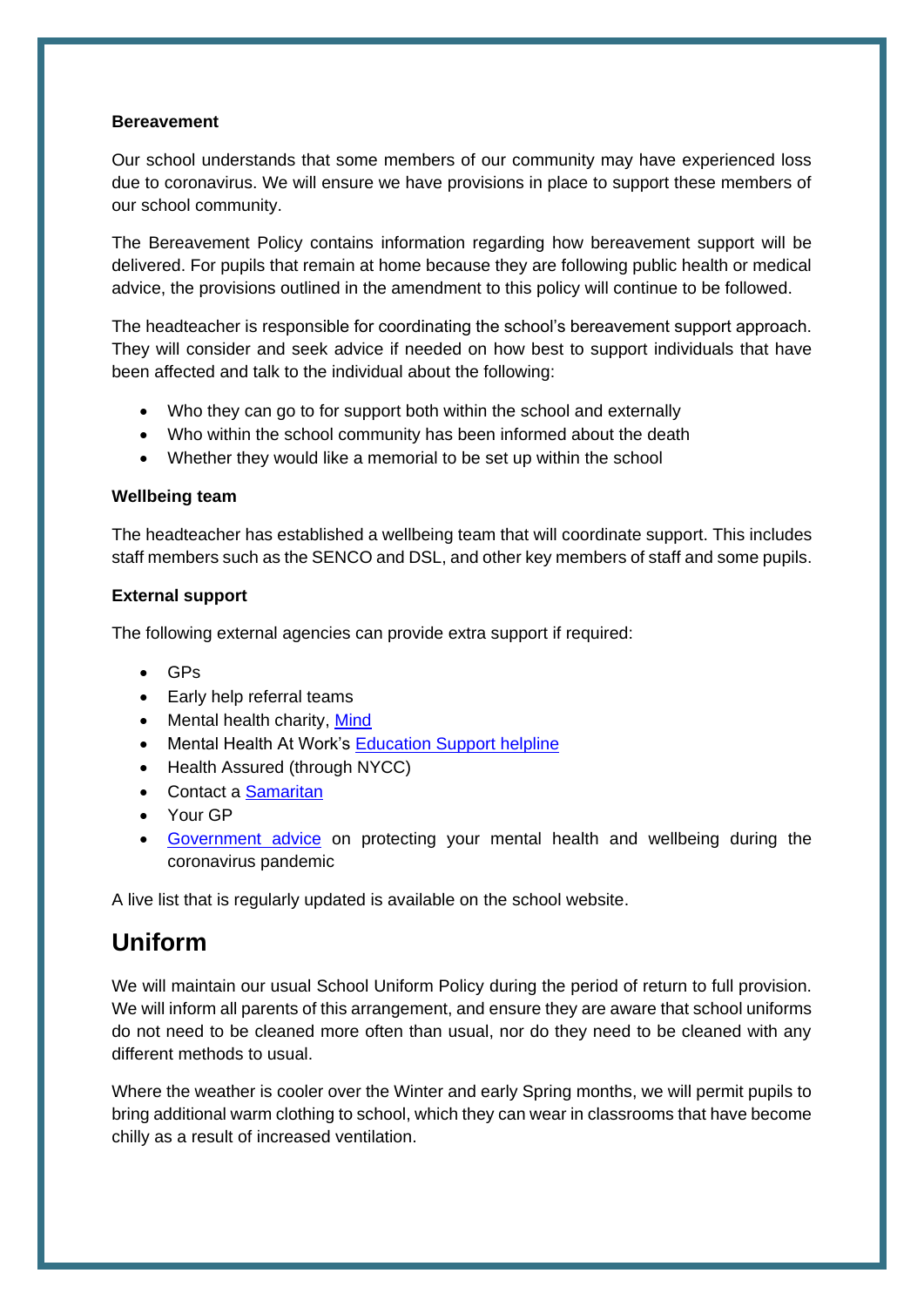#### **Bereavement**

Our school understands that some members of our community may have experienced loss due to coronavirus. We will ensure we have provisions in place to support these members of our school community.

The Bereavement Policy contains information regarding how bereavement support will be delivered. For pupils that remain at home because they are following public health or medical advice, the provisions outlined in the amendment to this policy will continue to be followed.

The headteacher is responsible for coordinating the school's bereavement support approach. They will consider and seek advice if needed on how best to support individuals that have been affected and talk to the individual about the following:

- Who they can go to for support both within the school and externally
- Who within the school community has been informed about the death
- Whether they would like a memorial to be set up within the school

#### **Wellbeing team**

The headteacher has established a wellbeing team that will coordinate support. This includes staff members such as the SENCO and DSL, and other key members of staff and some pupils.

#### **External support**

The following external agencies can provide extra support if required:

- GPs
- Early help referral teams
- Mental health charity, [Mind](https://www.mind.org.uk/)
- Mental Health At Work's **Education Support helpline**
- Health Assured (through NYCC)
- Contact a [Samaritan](https://www.samaritans.org/how-we-can-help/contact-samaritan/?gclid=EAIaIQobChMIyr3M2MvM6AIVGLLtCh1ZrQzuEAAYASABEgJfqfD_BwE)
- Your GP
- [Government advice](https://www.gov.uk/government/publications/covid-19-guidance-for-the-public-on-mental-health-and-wellbeing/guidance-for-the-public-on-the-mental-health-and-wellbeing-aspects-of-coronavirus-covid-19?dm_i=26BG,6T9LH,B1LAK,RA2LL,1#additional-advice-for-groups-with-specific-mental-health-needs) on protecting your mental health and wellbeing during the coronavirus pandemic

A live list that is regularly updated is available on the school website.

## <span id="page-19-0"></span>**Uniform**

We will maintain our usual School Uniform Policy during the period of return to full provision. We will inform all parents of this arrangement, and ensure they are aware that school uniforms do not need to be cleaned more often than usual, nor do they need to be cleaned with any different methods to usual.

Where the weather is cooler over the Winter and early Spring months, we will permit pupils to bring additional warm clothing to school, which they can wear in classrooms that have become chilly as a result of increased ventilation.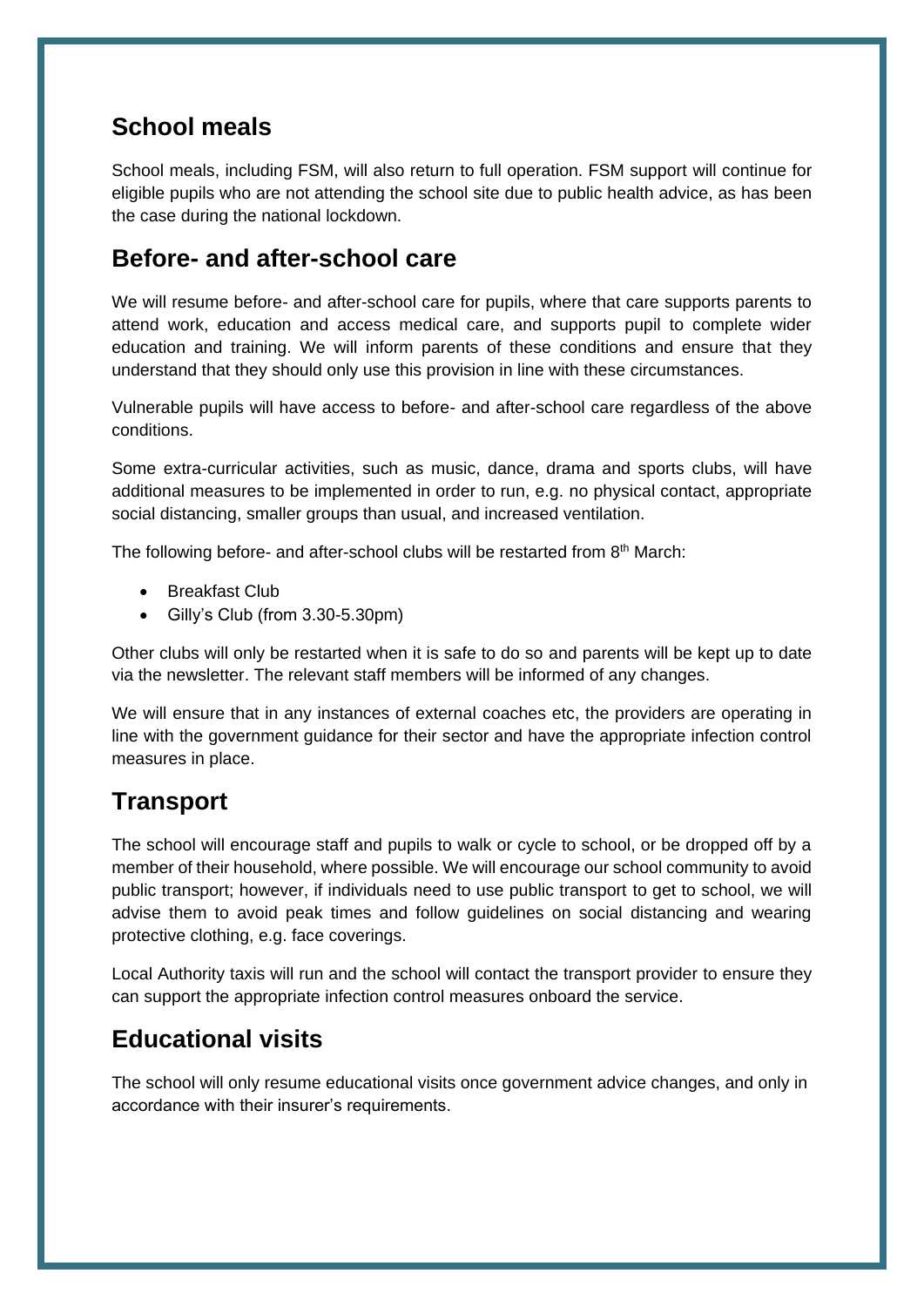# <span id="page-20-0"></span>**School meals**

School meals, including FSM, will also return to full operation. FSM support will continue for eligible pupils who are not attending the school site due to public health advice, as has been the case during the national lockdown.

## <span id="page-20-1"></span>**Before- and after-school care**

We will resume before- and after-school care for pupils, where that care supports parents to attend work, education and access medical care, and supports pupil to complete wider education and training. We will inform parents of these conditions and ensure that they understand that they should only use this provision in line with these circumstances.

Vulnerable pupils will have access to before- and after-school care regardless of the above conditions.

Some extra-curricular activities, such as music, dance, drama and sports clubs, will have additional measures to be implemented in order to run, e.g. no physical contact, appropriate social distancing, smaller groups than usual, and increased ventilation.

The following before- and after-school clubs will be restarted from 8<sup>th</sup> March:

- Breakfast Club
- Gilly's Club (from 3.30-5.30pm)

Other clubs will only be restarted when it is safe to do so and parents will be kept up to date via the newsletter. The relevant staff members will be informed of any changes.

We will ensure that in any instances of external coaches etc, the providers are operating in line with the government guidance for their sector and have the appropriate infection control measures in place.

## <span id="page-20-2"></span>**Transport**

The school will encourage staff and pupils to walk or cycle to school, or be dropped off by a member of their household, where possible. We will encourage our school community to avoid public transport; however, if individuals need to use public transport to get to school, we will advise them to avoid peak times and follow guidelines on social distancing and wearing protective clothing, e.g. face coverings.

Local Authority taxis will run and the school will contact the transport provider to ensure they can support the appropriate infection control measures onboard the service.

## <span id="page-20-3"></span>**Educational visits**

The school will only resume educational visits once government advice changes, and only in accordance with their insurer's requirements.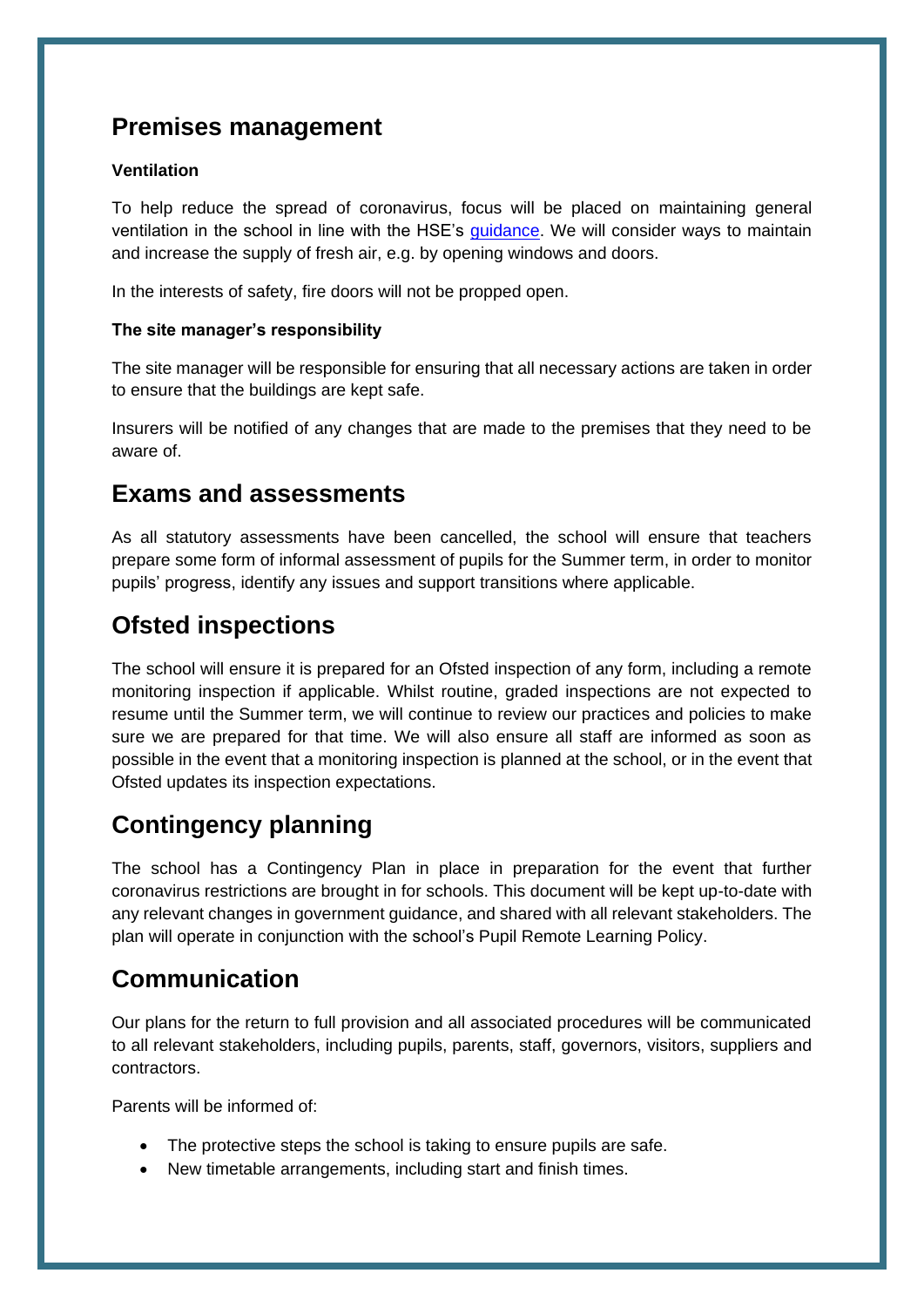# <span id="page-21-0"></span>**Premises management**

#### **Ventilation**

To help reduce the spread of coronavirus, focus will be placed on maintaining general ventilation in the school in line with the HSE's [guidance.](https://www.hse.gov.uk/coronavirus/equipment-and-machinery/air-conditioning-and-ventilation.htm) We will consider ways to maintain and increase the supply of fresh air, e.g. by opening windows and doors.

In the interests of safety, fire doors will not be propped open.

#### **The site manager's responsibility**

The site manager will be responsible for ensuring that all necessary actions are taken in order to ensure that the buildings are kept safe.

Insurers will be notified of any changes that are made to the premises that they need to be aware of.

## <span id="page-21-1"></span>**Exams and assessments**

As all statutory assessments have been cancelled, the school will ensure that teachers prepare some form of informal assessment of pupils for the Summer term, in order to monitor pupils' progress, identify any issues and support transitions where applicable.

# <span id="page-21-2"></span>**Ofsted inspections**

The school will ensure it is prepared for an Ofsted inspection of any form, including a remote monitoring inspection if applicable. Whilst routine, graded inspections are not expected to resume until the Summer term, we will continue to review our practices and policies to make sure we are prepared for that time. We will also ensure all staff are informed as soon as possible in the event that a monitoring inspection is planned at the school, or in the event that Ofsted updates its inspection expectations.

# <span id="page-21-3"></span>**Contingency planning**

The school has a Contingency Plan in place in preparation for the event that further coronavirus restrictions are brought in for schools. This document will be kept up-to-date with any relevant changes in government guidance, and shared with all relevant stakeholders. The plan will operate in conjunction with the school's Pupil Remote Learning Policy.

# <span id="page-21-4"></span>**Communication**

Our plans for the return to full provision and all associated procedures will be communicated to all relevant stakeholders, including pupils, parents, staff, governors, visitors, suppliers and contractors.

Parents will be informed of:

- The protective steps the school is taking to ensure pupils are safe.
- New timetable arrangements, including start and finish times.